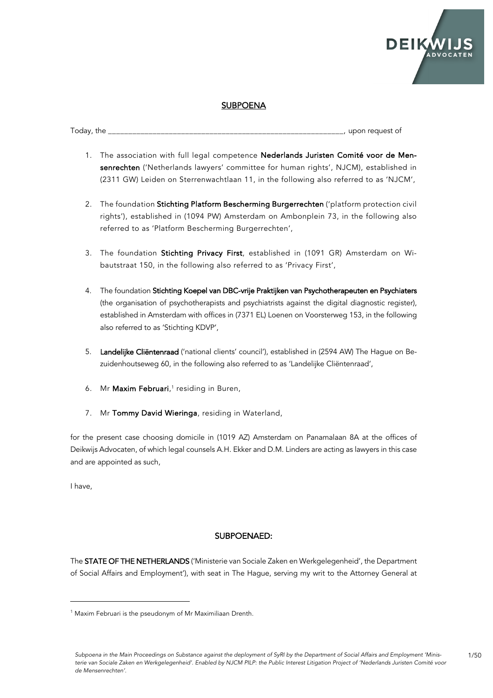

## **SUBPOENA**

Today, the **The Latter of the Latter of the Latter of the Latter of the Latter of the Latter of the Latter of the Latter of the Latter of the Latter of the Latter of the Latter of the Latter of the Latter of the Latter of** 

- 1. The association with full legal competence Nederlands Juristen Comité voor de Mensenrechten ('Netherlands lawyers' committee for human rights', NJCM), established in (2311 GW) Leiden on Sterrenwachtlaan 11, in the following also referred to as 'NJCM',
- 2. The foundation Stichting Platform Bescherming Burgerrechten ('platform protection civil rights'), established in (1094 PW) Amsterdam on Ambonplein 73, in the following also referred to as 'Platform Bescherming Burgerrechten',
- 3. The foundation Stichting Privacy First, established in (1091 GR) Amsterdam on Wibautstraat 150, in the following also referred to as 'Privacy First',
- 4. The foundation Stichting Koepel van DBC-vrije Praktijken van Psychotherapeuten en Psychiaters (the organisation of psychotherapists and psychiatrists against the digital diagnostic register), established in Amsterdam with offices in (7371 EL) Loenen on Voorsterweg 153, in the following also referred to as 'Stichting KDVP',
- 5. Landelijke Cliëntenraad ('national clients' council'), established in (2594 AW) The Hague on Bezuidenhoutseweg 60, in the following also referred to as 'Landelijke Cliëntenraad',
- 6. Mr **Maxim Februari**,<sup>1</sup> residing in Buren,
- 7. Mr Tommy David Wieringa, residing in Waterland,

for the present case choosing domicile in (1019 AZ) Amsterdam on Panamalaan 8A at the offices of Deikwijs Advocaten, of which legal counsels A.H. Ekker and D.M. Linders are acting as lawyers in this case and are appointed as such,

I have,

#### SUBPOENAED:

The STATE OF THE NETHERLANDS ('Ministerie van Sociale Zaken en Werkgelegenheid', the Department of Social Affairs and Employment'), with seat in The Hague, serving my writ to the Attorney General at

<sup>&</sup>lt;sup>1</sup> Maxim Februari is the pseudonym of Mr Maximiliaan Drenth.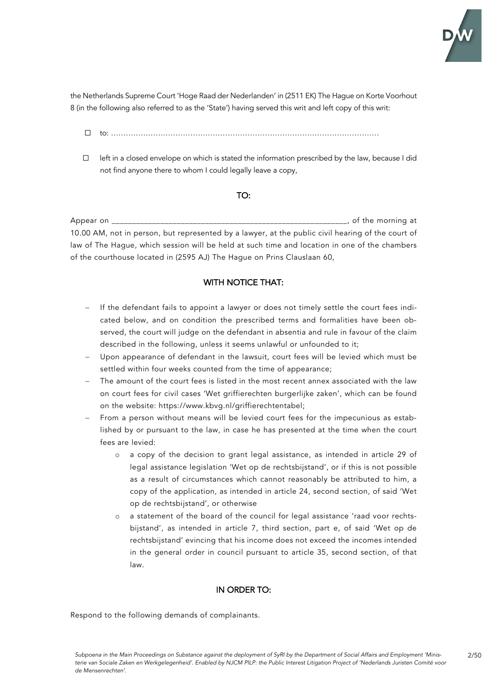

the Netherlands Supreme Court 'Hoge Raad der Nederlanden' in (2511 EK) The Hague on Korte Voorhout 8 (in the following also referred to as the 'State') having served this writ and left copy of this writ:

- $\Box$  to:
- ☐ left in a closed envelope on which is stated the information prescribed by the law, because I did not find anyone there to whom I could legally leave a copy,

### TO:

Appear on \_\_\_\_\_\_\_\_\_\_\_\_\_\_\_\_\_\_\_\_\_\_\_\_\_\_\_\_\_\_\_\_\_\_\_\_\_\_\_\_\_\_\_\_\_\_\_\_\_\_\_\_\_\_\_\_\_\_, of the morning at 10.00 AM, not in person, but represented by a lawyer, at the public civil hearing of the court of law of The Hague, which session will be held at such time and location in one of the chambers of the courthouse located in (2595 AJ) The Hague on Prins Clauslaan 60,

## WITH NOTICE THAT:

- If the defendant fails to appoint a lawyer or does not timely settle the court fees indicated below, and on condition the prescribed terms and formalities have been observed, the court will judge on the defendant in absentia and rule in favour of the claim described in the following, unless it seems unlawful or unfounded to it;
- Upon appearance of defendant in the lawsuit, court fees will be levied which must be settled within four weeks counted from the time of appearance;
- The amount of the court fees is listed in the most recent annex associated with the law on court fees for civil cases 'Wet griffierechten burgerlijke zaken', which can be found on the website: https://www.kbvg.nl/griffierechtentabel;
- From a person without means will be levied court fees for the impecunious as established by or pursuant to the law, in case he has presented at the time when the court fees are levied:
	- o a copy of the decision to grant legal assistance, as intended in article 29 of legal assistance legislation 'Wet op de rechtsbijstand', or if this is not possible as a result of circumstances which cannot reasonably be attributed to him, a copy of the application, as intended in article 24, second section, of said 'Wet op de rechtsbijstand', or otherwise
	- o a statement of the board of the council for legal assistance 'raad voor rechtsbijstand', as intended in article 7, third section, part e, of said 'Wet op de rechtsbijstand' evincing that his income does not exceed the incomes intended in the general order in council pursuant to article 35, second section, of that law.

### IN ORDER TO:

Respond to the following demands of complainants.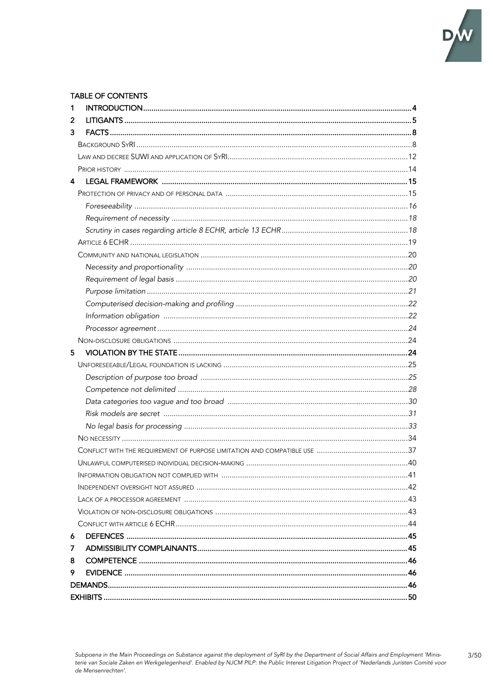

 $3/50$ 

# **TABLE OF CONTENTS**

| 1  |  |  |  |
|----|--|--|--|
| 2  |  |  |  |
| 3  |  |  |  |
|    |  |  |  |
|    |  |  |  |
|    |  |  |  |
| 4  |  |  |  |
|    |  |  |  |
|    |  |  |  |
|    |  |  |  |
|    |  |  |  |
|    |  |  |  |
|    |  |  |  |
|    |  |  |  |
|    |  |  |  |
|    |  |  |  |
|    |  |  |  |
|    |  |  |  |
|    |  |  |  |
|    |  |  |  |
| 5  |  |  |  |
|    |  |  |  |
|    |  |  |  |
|    |  |  |  |
|    |  |  |  |
|    |  |  |  |
|    |  |  |  |
|    |  |  |  |
|    |  |  |  |
|    |  |  |  |
|    |  |  |  |
|    |  |  |  |
|    |  |  |  |
|    |  |  |  |
|    |  |  |  |
| 6  |  |  |  |
| 7  |  |  |  |
| 8  |  |  |  |
| 9. |  |  |  |
|    |  |  |  |
|    |  |  |  |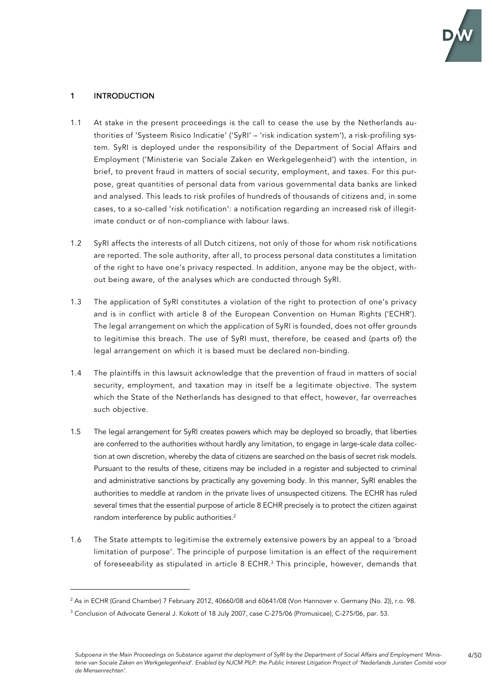

4/50

## 1 INTRODUCTION

- 1.1 At stake in the present proceedings is the call to cease the use by the Netherlands authorities of 'Systeem Risico Indicatie' ('SyRI' – 'risk indication system'), a risk-profiling system. SyRI is deployed under the responsibility of the Department of Social Affairs and Employment ('Ministerie van Sociale Zaken en Werkgelegenheid') with the intention, in brief, to prevent fraud in matters of social security, employment, and taxes. For this purpose, great quantities of personal data from various governmental data banks are linked and analysed. This leads to risk profiles of hundreds of thousands of citizens and, in some cases, to a so-called 'risk notification': a notification regarding an increased risk of illegitimate conduct or of non-compliance with labour laws.
- 1.2 SyRI affects the interests of all Dutch citizens, not only of those for whom risk notifications are reported. The sole authority, after all, to process personal data constitutes a limitation of the right to have one's privacy respected. In addition, anyone may be the object, without being aware, of the analyses which are conducted through SyRI.
- 1.3 The application of SyRI constitutes a violation of the right to protection of one's privacy and is in conflict with article 8 of the European Convention on Human Rights ('ECHR'). The legal arrangement on which the application of SyRI is founded, does not offer grounds to legitimise this breach. The use of SyRI must, therefore, be ceased and (parts of) the legal arrangement on which it is based must be declared non-binding.
- 1.4 The plaintiffs in this lawsuit acknowledge that the prevention of fraud in matters of social security, employment, and taxation may in itself be a legitimate objective. The system which the State of the Netherlands has designed to that effect, however, far overreaches such objective.
- 1.5 The legal arrangement for SyRI creates powers which may be deployed so broadly, that liberties are conferred to the authorities without hardly any limitation, to engage in large-scale data collection at own discretion, whereby the data of citizens are searched on the basis of secret risk models. Pursuant to the results of these, citizens may be included in a register and subjected to criminal and administrative sanctions by practically any governing body. In this manner, SyRI enables the authorities to meddle at random in the private lives of unsuspected citizens. The ECHR has ruled several times that the essential purpose of article 8 ECHR precisely is to protect the citizen against random interference by public authorities.<sup>2</sup>
- 1.6 The State attempts to legitimise the extremely extensive powers by an appeal to a 'broad limitation of purpose'. The principle of purpose limitation is an effect of the requirement of foreseeability as stipulated in article 8 ECHR.<sup>3</sup> This principle, however, demands that

<sup>&</sup>lt;sup>2</sup> As in ECHR (Grand Chamber) 7 February 2012, 40660/08 and 60641/08 (Von Hannover v. Germany (No. 2)), r.o. 98.

<sup>3</sup> Conclusion of Advocate General J. Kokott of 18 July 2007, case C-275/06 (Promusicae), C-275/06, par. 53.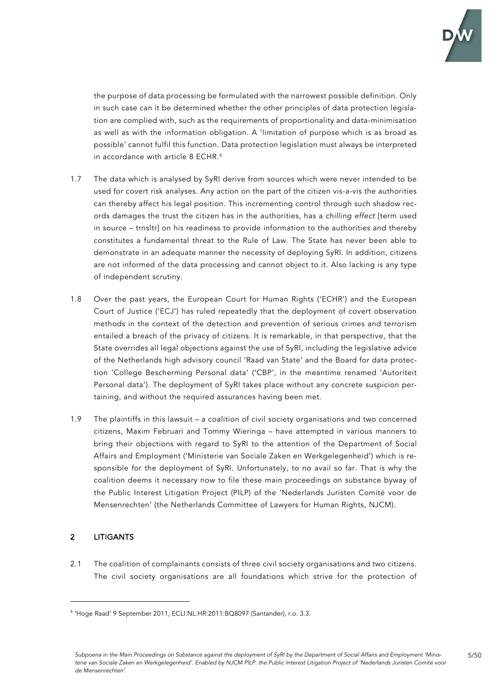

the purpose of data processing be formulated with the narrowest possible definition. Only in such case can it be determined whether the other principles of data protection legislation are complied with, such as the requirements of proportionality and data-minimisation as well as with the information obligation. A 'limitation of purpose which is as broad as possible' cannot fulfil this function. Data protection legislation must always be interpreted in accordance with article 8 ECHR. 4

- 1.7 The data which is analysed by SyRI derive from sources which were never intended to be used for covert risk analyses. Any action on the part of the citizen vis-a-vis the authorities can thereby affect his legal position. This incrementing control through such shadow records damages the trust the citizen has in the authorities, has a *chilling effect* [term used in source – trnsltr] on his readiness to provide information to the authorities and thereby constitutes a fundamental threat to the Rule of Law. The State has never been able to demonstrate in an adequate manner the necessity of deploying SyRI. In addition, citizens are not informed of the data processing and cannot object to it. Also lacking is any type of independent scrutiny.
- 1.8 Over the past years, the European Court for Human Rights ('ECHR') and the European Court of Justice ('ECJ') has ruled repeatedly that the deployment of covert observation methods in the context of the detection and prevention of serious crimes and terrorism entailed a breach of the privacy of citizens. It is remarkable, in that perspective, that the State overrides all legal objections against the use of SyRI, including the legislative advice of the Netherlands high advisory council 'Raad van State' and the Board for data protection 'College Bescherming Personal data' ('CBP', in the meantime renamed 'Autoriteit Personal data'). The deployment of SyRI takes place without any concrete suspicion pertaining, and without the required assurances having been met.
- 1.9 The plaintiffs in this lawsuit a coalition of civil society organisations and two concerned citizens, Maxim Februari and Tommy Wieringa – have attempted in various manners to bring their objections with regard to SyRI to the attention of the Department of Social Affairs and Employment ('Ministerie van Sociale Zaken en Werkgelegenheid') which is responsible for the deployment of SyRI. Unfortunately, to no avail so far. That is why the coalition deems it necessary now to file these main proceedings on substance byway of the Public Interest Litigation Project (PILP) of the 'Nederlands Juristen Comité voor de Mensenrechten' (the Netherlands Committee of Lawyers for Human Rights, NJCM).

## 2 LITIGANTS

2.1 The coalition of complainants consists of three civil society organisations and two citizens. The civil society organisations are all foundations which strive for the protection of

<sup>4</sup> 'Hoge Raad' 9 September 2011, ECLI:NL:HR:2011:BQ8097 (Santander), r.o. 3.3.

*Subpoena in the Main Proceedings on Substance against the deployment of SyRI by the Department of Social Affairs and Employment 'Ministerie van Sociale Zaken en Werkgelegenheid'. Enabled by NJCM PILP: the Public Interest Litigation Project of 'Nederlands Juristen Comité voor de Mensenrechten'.*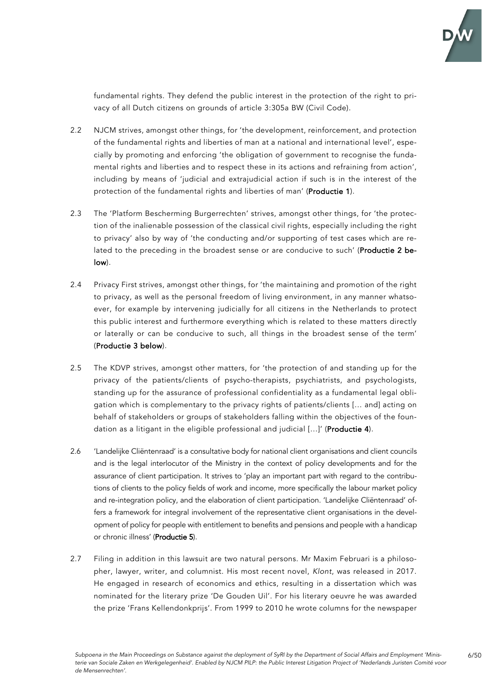

fundamental rights. They defend the public interest in the protection of the right to privacy of all Dutch citizens on grounds of article 3:305a BW (Civil Code).

- 2.2 NJCM strives, amongst other things, for 'the development, reinforcement, and protection of the fundamental rights and liberties of man at a national and international level', especially by promoting and enforcing 'the obligation of government to recognise the fundamental rights and liberties and to respect these in its actions and refraining from action', including by means of 'judicial and extrajudicial action if such is in the interest of the protection of the fundamental rights and liberties of man' (Productie 1).
- 2.3 The 'Platform Bescherming Burgerrechten' strives, amongst other things, for 'the protection of the inalienable possession of the classical civil rights, especially including the right to privacy' also by way of 'the conducting and/or supporting of test cases which are related to the preceding in the broadest sense or are conducive to such' (Productie 2 below).
- 2.4 Privacy First strives, amongst other things, for 'the maintaining and promotion of the right to privacy, as well as the personal freedom of living environment, in any manner whatsoever, for example by intervening judicially for all citizens in the Netherlands to protect this public interest and furthermore everything which is related to these matters directly or laterally or can be conducive to such, all things in the broadest sense of the term' (Productie 3 below).
- 2.5 The KDVP strives, amongst other matters, for 'the protection of and standing up for the privacy of the patients/clients of psycho-therapists, psychiatrists, and psychologists, standing up for the assurance of professional confidentiality as a fundamental legal obligation which is complementary to the privacy rights of patients/clients [… and] acting on behalf of stakeholders or groups of stakeholders falling within the objectives of the foundation as a litigant in the eligible professional and judicial [...]' (Productie 4).
- 2.6 'Landelijke Cliëntenraad' is a consultative body for national client organisations and client councils and is the legal interlocutor of the Ministry in the context of policy developments and for the assurance of client participation. It strives to 'play an important part with regard to the contributions of clients to the policy fields of work and income, more specifically the labour market policy and re-integration policy, and the elaboration of client participation. 'Landelijke Cliëntenraad' offers a framework for integral involvement of the representative client organisations in the development of policy for people with entitlement to benefits and pensions and people with a handicap or chronic illness' (Productie 5).
- 2.7 Filing in addition in this lawsuit are two natural persons. Mr Maxim Februari is a philosopher, lawyer, writer, and columnist. His most recent novel, *Klont*, was released in 2017. He engaged in research of economics and ethics, resulting in a dissertation which was nominated for the literary prize 'De Gouden Uil'. For his literary oeuvre he was awarded the prize 'Frans Kellendonkprijs'. From 1999 to 2010 he wrote columns for the newspaper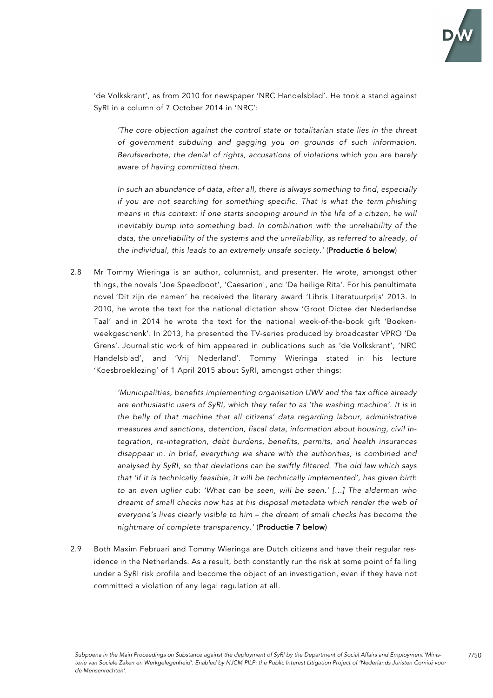

'de Volkskrant', as from 2010 for newspaper 'NRC Handelsblad'. He took a stand against SyRI in a column of 7 October 2014 in 'NRC':

*'The core objection against the control state or totalitarian state lies in the threat of government subduing and gagging you on grounds of such information. Berufsverbote, the denial of rights, accusations of violations which you are barely aware of having committed them.*

*In such an abundance of data, after all, there is always something to find, especially if you are not searching for something specific. That is what the term phishing means in this context: if one starts snooping around in the life of a citizen, he will inevitably bump into something bad. In combination with the unreliability of the data, the unreliability of the systems and the unreliability, as referred to already, of the individual, this leads to an extremely unsafe society.'* (Productie 6 below)

2.8 Mr Tommy Wieringa is an author, columnist, and presenter. He wrote, amongst other things, the novels 'Joe Speedboot', 'Caesarion', and 'De heilige Rita'. For his penultimate novel 'Dit zijn de namen' he received the literary award 'Libris Literatuurprijs' 2013. In 2010, he wrote the text for the national dictation show 'Groot Dictee der Nederlandse Taal' and in 2014 he wrote the text for the national week-of-the-book gift 'Boekenweekgeschenk'. In 2013, he presented the TV-series produced by broadcaster VPRO 'De Grens'. Journalistic work of him appeared in publications such as 'de Volkskrant', 'NRC Handelsblad', and 'Vrij Nederland'. Tommy Wieringa stated in his lecture 'Koesbroeklezing' of 1 April 2015 about SyRI, amongst other things:

> *'Municipalities, benefits implementing organisation UWV and the tax office already are enthusiastic users of SyRI, which they refer to as 'the washing machine'. It is in the belly of that machine that all citizens' data regarding labour, administrative measures and sanctions, detention, fiscal data, information about housing, civil integration, re-integration, debt burdens, benefits, permits, and health insurances disappear in. In brief, everything we share with the authorities, is combined and analysed by SyRI, so that deviations can be swiftly filtered. The old law which says that 'if it is technically feasible, it will be technically implemented', has given birth to an even uglier cub: 'What can be seen, will be seen.' […] The alderman who dreamt of small checks now has at his disposal metadata which render the web of everyone's lives clearly visible to him – the dream of small checks has become the nightmare of complete transparency.'* (Productie 7 below)

2.9 Both Maxim Februari and Tommy Wieringa are Dutch citizens and have their regular residence in the Netherlands. As a result, both constantly run the risk at some point of falling under a SyRI risk profile and become the object of an investigation, even if they have not committed a violation of any legal regulation at all.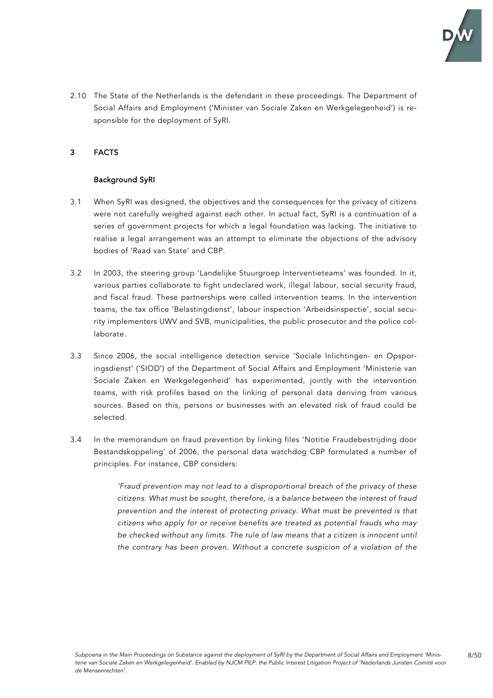

8/50

2.10 The State of the Netherlands is the defendant in these proceedings. The Department of Social Affairs and Employment ('Minister van Sociale Zaken en Werkgelegenheid') is responsible for the deployment of SyRI.

## 3 FACTS

## Background SyRI

- 3.1 When SyRI was designed, the objectives and the consequences for the privacy of citizens were not carefully weighed against each other. In actual fact, SyRI is a continuation of a series of government projects for which a legal foundation was lacking. The initiative to realise a legal arrangement was an attempt to eliminate the objections of the advisory bodies of 'Raad van State' and CBP.
- 3.2 In 2003, the steering group 'Landelijke Stuurgroep Interventieteams' was founded. In it, various parties collaborate to fight undeclared work, illegal labour, social security fraud, and fiscal fraud. These partnerships were called intervention teams. In the intervention teams, the tax office 'Belastingdienst', labour inspection 'Arbeidsinspectie', social security implementers UWV and SVB, municipalities, the public prosecutor and the police collaborate.
- 3.3 Since 2006, the social intelligence detection service 'Sociale Inlichtingen- en Opsporingsdienst' ('SIOD') of the Department of Social Affairs and Employment 'Ministerie van Sociale Zaken en Werkgelegenheid' has experimented, jointly with the intervention teams, with risk profiles based on the linking of personal data deriving from various sources. Based on this, persons or businesses with an elevated risk of fraud could be selected.
- 3.4 In the memorandum on fraud prevention by linking files 'Notitie Fraudebestrijding door Bestandskoppeling' of 2006, the personal data watchdog CBP formulated a number of principles. For instance, CBP considers:

*'Fraud prevention may not lead to a disproportional breach of the privacy of these citizens. What must be sought, therefore, is a balance between the interest of fraud prevention and the interest of protecting privacy. What must be prevented is that citizens who apply for or receive benefits are treated as potential frauds who may be checked without any limits. The rule of law means that a citizen is innocent until the contrary has been proven. Without a concrete suspicion of a violation of the*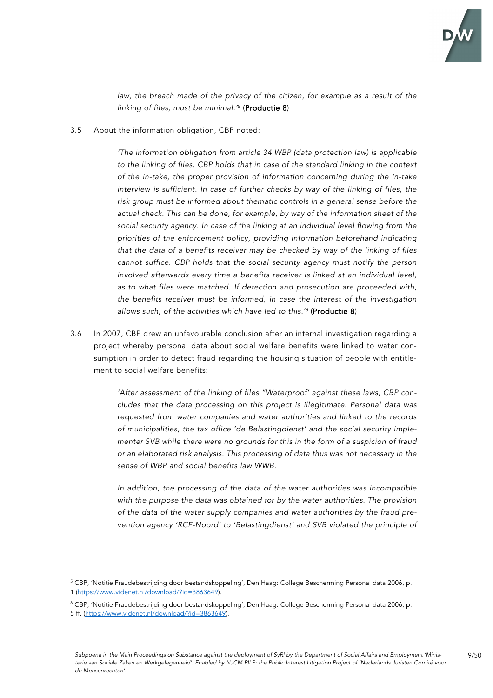

9/50

law, the breach made of the privacy of the citizen, for example as a result of the *linking of files, must be minimal.'* <sup>5</sup> (Productie 8)

3.5 About the information obligation, CBP noted:

*'The information obligation from article 34 WBP (data protection law) is applicable to the linking of files. CBP holds that in case of the standard linking in the context of the in-take, the proper provision of information concerning during the in-take interview is sufficient. In case of further checks by way of the linking of files, the risk group must be informed about thematic controls in a general sense before the actual check. This can be done, for example, by way of the information sheet of the social security agency. In case of the linking at an individual level flowing from the priorities of the enforcement policy, providing information beforehand indicating that the data of a benefits receiver may be checked by way of the linking of files cannot suffice. CBP holds that the social security agency must notify the person involved afterwards every time a benefits receiver is linked at an individual level, as to what files were matched. If detection and prosecution are proceeded with, the benefits receiver must be informed, in case the interest of the investigation allows such, of the activities which have led to this.' <sup>6</sup>* (Productie 8)

3.6 In 2007, CBP drew an unfavourable conclusion after an internal investigation regarding a project whereby personal data about social welfare benefits were linked to water consumption in order to detect fraud regarding the housing situation of people with entitlement to social welfare benefits:

> *'After assessment of the linking of files "Waterproof' against these laws, CBP concludes that the data processing on this project is illegitimate. Personal data was requested from water companies and water authorities and linked to the records of municipalities, the tax office 'de Belastingdienst' and the social security implementer SVB while there were no grounds for this in the form of a suspicion of fraud or an elaborated risk analysis. This processing of data thus was not necessary in the sense of WBP and social benefits law WWB.*

> *In addition, the processing of the data of the water authorities was incompatible with the purpose the data was obtained for by the water authorities. The provision of the data of the water supply companies and water authorities by the fraud prevention agency 'RCF-Noord' to 'Belastingdienst' and SVB violated the principle of*

<sup>5</sup> CBP, 'Notitie Fraudebestrijding door bestandskoppeling', Den Haag: College Bescherming Personal data 2006, p. 1 (https://www.videnet.nl/download/?id=3863649).

 $^6$  CBP, 'Notitie Fraudebestrijding door bestandskoppeling', Den Haag: College Bescherming Personal data 2006, p. 5 ff. (https://www.videnet.nl/download/?id=3863649).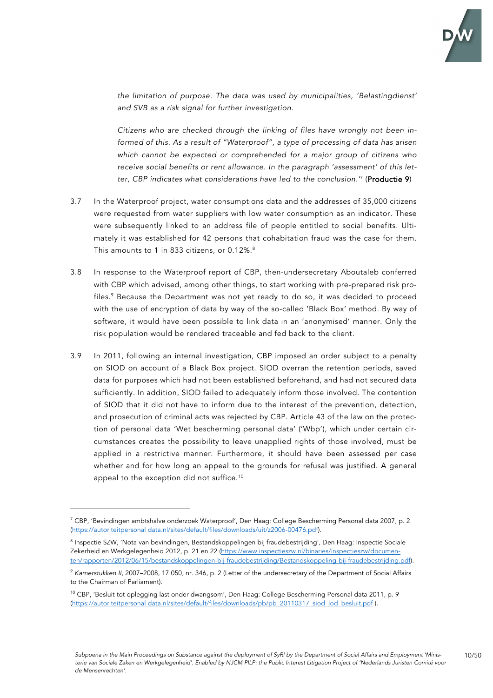

*the limitation of purpose. The data was used by municipalities, 'Belastingdienst' and SVB as a risk signal for further investigation.*

*Citizens who are checked through the linking of files have wrongly not been informed of this. As a result of "Waterproof", a type of processing of data has arisen which cannot be expected or comprehended for a major group of citizens who receive social benefits or rent allowance. In the paragraph 'assessment' of this letter, CBP indicates what considerations have led to the conclusion.'* <sup>7</sup> (Productie 9)

- 3.7 In the Waterproof project, water consumptions data and the addresses of 35,000 citizens were requested from water suppliers with low water consumption as an indicator. These were subsequently linked to an address file of people entitled to social benefits. Ultimately it was established for 42 persons that cohabitation fraud was the case for them. This amounts to 1 in 833 citizens, or 0.12%.<sup>8</sup>
- 3.8 In response to the Waterproof report of CBP, then-undersecretary Aboutaleb conferred with CBP which advised, among other things, to start working with pre-prepared risk profiles. <sup>9</sup> Because the Department was not yet ready to do so, it was decided to proceed with the use of encryption of data by way of the so-called 'Black Box' method. By way of software, it would have been possible to link data in an 'anonymised' manner. Only the risk population would be rendered traceable and fed back to the client.
- 3.9 In 2011, following an internal investigation, CBP imposed an order subject to a penalty on SIOD on account of a Black Box project. SIOD overran the retention periods, saved data for purposes which had not been established beforehand, and had not secured data sufficiently. In addition, SIOD failed to adequately inform those involved. The contention of SIOD that it did not have to inform due to the interest of the prevention, detection, and prosecution of criminal acts was rejected by CBP. Article 43 of the law on the protection of personal data 'Wet bescherming personal data' ('Wbp'), which under certain circumstances creates the possibility to leave unapplied rights of those involved, must be applied in a restrictive manner. Furthermore, it should have been assessed per case whether and for how long an appeal to the grounds for refusal was justified. A general appeal to the exception did not suffice. $^{\rm 10}$

 $^7$  CBP, 'Bevindingen ambtshalve onderzoek Waterproof', Den Haag: College Bescherming Personal data 2007, p. 2 (https://autoriteitpersonal data.nl/sites/default/files/downloads/uit/z2006-00476.pdf).

<sup>8</sup> Inspectie SZW, 'Nota van bevindingen, Bestandskoppelingen bij fraudebestrijding', Den Haag: Inspectie Sociale Zekerheid en Werkgelegenheid 2012, p. 21 en 22 (https://www.inspectieszw.nl/binaries/inspectieszw/documenten/rapporten/2012/06/15/bestandskoppelingen-bij-fraudebestrijding/Bestandskoppeling-bij-fraudebestrijding.pdf).

<sup>9</sup> *Kamerstukken II,* 2007–2008, 17 050, nr. 346, p. 2 (Letter of the undersecretary of the Department of Social Affairs to the Chairman of Parliament).

<sup>&</sup>lt;sup>10</sup> CBP, 'Besluit tot oplegging last onder dwangsom', Den Haag: College Bescherming Personal data 2011, p. 9 (https://autoriteitpersonal data.nl/sites/default/files/downloads/pb/pb\_20110317\_siod\_lod\_besluit.pdf ).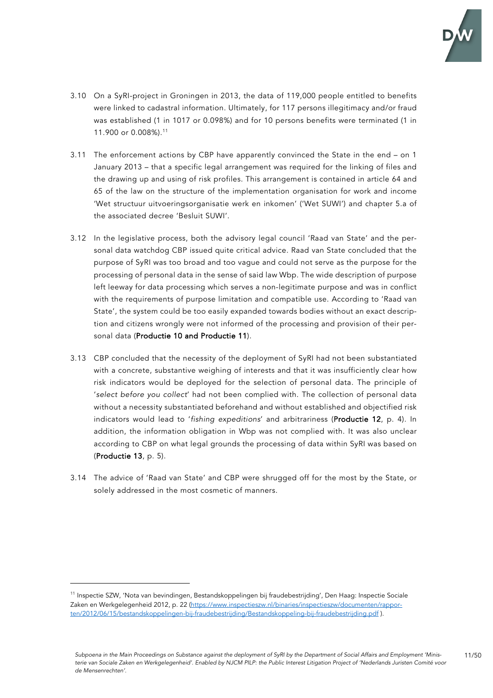

- 3.10 On a SyRI-project in Groningen in 2013, the data of 119,000 people entitled to benefits were linked to cadastral information. Ultimately, for 117 persons illegitimacy and/or fraud was established (1 in 1017 or 0.098%) and for 10 persons benefits were terminated (1 in 11.900 or 0.008%).11
- 3.11 The enforcement actions by CBP have apparently convinced the State in the end on 1 January 2013 – that a specific legal arrangement was required for the linking of files and the drawing up and using of risk profiles. This arrangement is contained in article 64 and 65 of the law on the structure of the implementation organisation for work and income 'Wet structuur uitvoeringsorganisatie werk en inkomen' ('Wet SUWI') and chapter 5.a of the associated decree 'Besluit SUWI'.
- 3.12 In the legislative process, both the advisory legal council 'Raad van State' and the personal data watchdog CBP issued quite critical advice. Raad van State concluded that the purpose of SyRI was too broad and too vague and could not serve as the purpose for the processing of personal data in the sense of said law Wbp. The wide description of purpose left leeway for data processing which serves a non-legitimate purpose and was in conflict with the requirements of purpose limitation and compatible use. According to 'Raad van State', the system could be too easily expanded towards bodies without an exact description and citizens wrongly were not informed of the processing and provision of their personal data (Productie 10 and Productie 11).
- 3.13 CBP concluded that the necessity of the deployment of SyRI had not been substantiated with a concrete, substantive weighing of interests and that it was insufficiently clear how risk indicators would be deployed for the selection of personal data. The principle of '*select before you collect*' had not been complied with. The collection of personal data without a necessity substantiated beforehand and without established and objectified risk indicators would lead to '*fishing expeditions*' and arbitrariness (Productie 12, p. 4). In addition, the information obligation in Wbp was not complied with. It was also unclear according to CBP on what legal grounds the processing of data within SyRI was based on (Productie 13, p. 5).
- 3.14 The advice of 'Raad van State' and CBP were shrugged off for the most by the State, or solely addressed in the most cosmetic of manners.

<sup>11</sup> Inspectie SZW, 'Nota van bevindingen, Bestandskoppelingen bij fraudebestrijding', Den Haag: Inspectie Sociale Zaken en Werkgelegenheid 2012, p. 22 (https://www.inspectieszw.nl/binaries/inspectieszw/documenten/rapporten/2012/06/15/bestandskoppelingen-bij-fraudebestrijding/Bestandskoppeling-bij-fraudebestrijding.pdf ).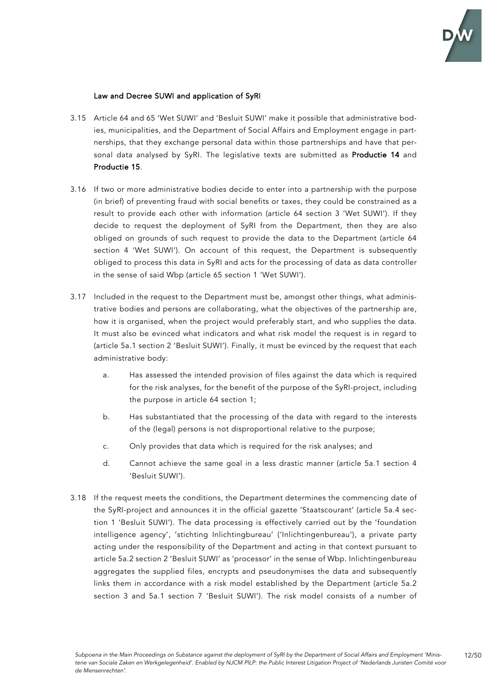

## Law and Decree SUWI and application of SyRI

- 3.15 Article 64 and 65 'Wet SUWI' and 'Besluit SUWI' make it possible that administrative bodies, municipalities, and the Department of Social Affairs and Employment engage in partnerships, that they exchange personal data within those partnerships and have that personal data analysed by SyRI. The legislative texts are submitted as Productie 14 and Productie 15.
- 3.16 If two or more administrative bodies decide to enter into a partnership with the purpose (in brief) of preventing fraud with social benefits or taxes, they could be constrained as a result to provide each other with information (article 64 section 3 'Wet SUWI'). If they decide to request the deployment of SyRI from the Department, then they are also obliged on grounds of such request to provide the data to the Department (article 64 section 4 'Wet SUWI'). On account of this request, the Department is subsequently obliged to process this data in SyRI and acts for the processing of data as data controller in the sense of said Wbp (article 65 section 1 'Wet SUWI').
- 3.17 Included in the request to the Department must be, amongst other things, what administrative bodies and persons are collaborating, what the objectives of the partnership are, how it is organised, when the project would preferably start, and who supplies the data. It must also be evinced what indicators and what risk model the request is in regard to (article 5a.1 section 2 'Besluit SUWI'). Finally, it must be evinced by the request that each administrative body:
	- a. Has assessed the intended provision of files against the data which is required for the risk analyses, for the benefit of the purpose of the SyRI-project, including the purpose in article 64 section 1;
	- b. Has substantiated that the processing of the data with regard to the interests of the (legal) persons is not disproportional relative to the purpose;
	- c. Only provides that data which is required for the risk analyses; and
	- d. Cannot achieve the same goal in a less drastic manner (article 5a.1 section 4 'Besluit SUWI').
- 3.18 If the request meets the conditions, the Department determines the commencing date of the SyRI-project and announces it in the official gazette 'Staatscourant' (article 5a.4 section 1 'Besluit SUWI'). The data processing is effectively carried out by the 'foundation intelligence agency', 'stichting Inlichtingbureau' ('Inlichtingenbureau'), a private party acting under the responsibility of the Department and acting in that context pursuant to article 5a.2 section 2 'Besluit SUWI' as 'processor' in the sense of Wbp. Inlichtingenbureau aggregates the supplied files, encrypts and pseudonymises the data and subsequently links them in accordance with a risk model established by the Department (article 5a.2 section 3 and 5a.1 section 7 'Besluit SUWI'). The risk model consists of a number of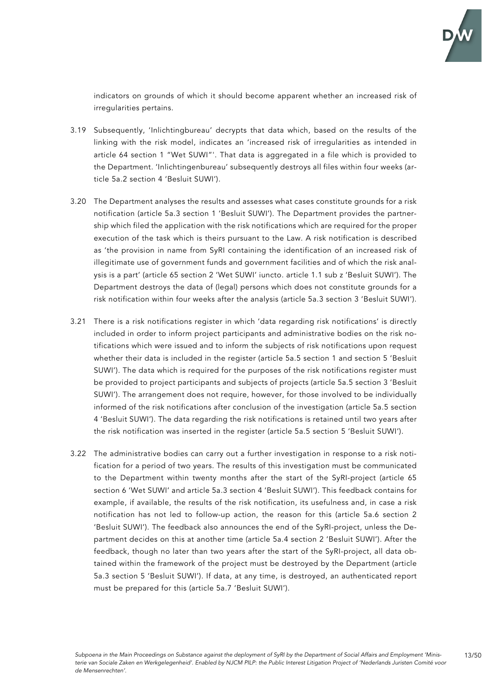

indicators on grounds of which it should become apparent whether an increased risk of irregularities pertains.

- 3.19 Subsequently, 'Inlichtingbureau' decrypts that data which, based on the results of the linking with the risk model, indicates an 'increased risk of irregularities as intended in article 64 section 1 "Wet SUWI"'. That data is aggregated in a file which is provided to the Department. 'Inlichtingenbureau' subsequently destroys all files within four weeks (article 5a.2 section 4 'Besluit SUWI').
- 3.20 The Department analyses the results and assesses what cases constitute grounds for a risk notification (article 5a.3 section 1 'Besluit SUWI'). The Department provides the partnership which filed the application with the risk notifications which are required for the proper execution of the task which is theirs pursuant to the Law. A risk notification is described as 'the provision in name from SyRI containing the identification of an increased risk of illegitimate use of government funds and government facilities and of which the risk analysis is a part' (article 65 section 2 'Wet SUWI' iuncto. article 1.1 sub z 'Besluit SUWI'). The Department destroys the data of (legal) persons which does not constitute grounds for a risk notification within four weeks after the analysis (article 5a.3 section 3 'Besluit SUWI').
- 3.21 There is a risk notifications register in which 'data regarding risk notifications' is directly included in order to inform project participants and administrative bodies on the risk notifications which were issued and to inform the subjects of risk notifications upon request whether their data is included in the register (article 5a.5 section 1 and section 5 'Besluit SUWI'). The data which is required for the purposes of the risk notifications register must be provided to project participants and subjects of projects (article 5a.5 section 3 'Besluit SUWI'). The arrangement does not require, however, for those involved to be individually informed of the risk notifications after conclusion of the investigation (article 5a.5 section 4 'Besluit SUWI'). The data regarding the risk notifications is retained until two years after the risk notification was inserted in the register (article 5a.5 section 5 'Besluit SUWI').
- 3.22 The administrative bodies can carry out a further investigation in response to a risk notification for a period of two years. The results of this investigation must be communicated to the Department within twenty months after the start of the SyRI-project (article 65 section 6 'Wet SUWI' and article 5a.3 section 4 'Besluit SUWI'). This feedback contains for example, if available, the results of the risk notification, its usefulness and, in case a risk notification has not led to follow-up action, the reason for this (article 5a.6 section 2 'Besluit SUWI'). The feedback also announces the end of the SyRI-project, unless the Department decides on this at another time (article 5a.4 section 2 'Besluit SUWI'). After the feedback, though no later than two years after the start of the SyRI-project, all data obtained within the framework of the project must be destroyed by the Department (article 5a.3 section 5 'Besluit SUWI'). If data, at any time, is destroyed, an authenticated report must be prepared for this (article 5a.7 'Besluit SUWI').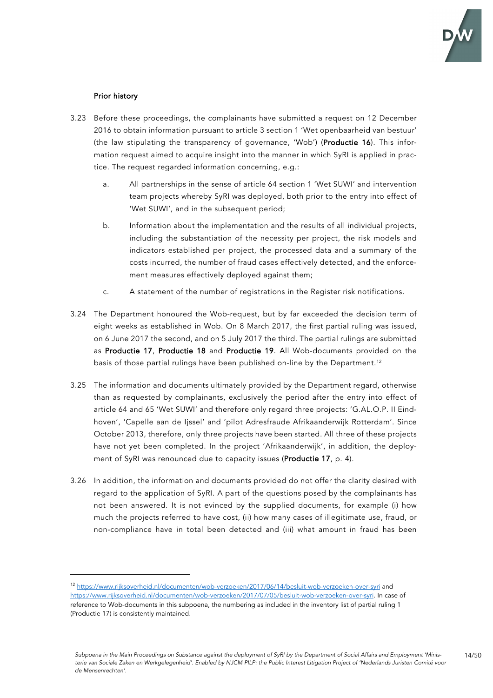

## Prior history

- 3.23 Before these proceedings, the complainants have submitted a request on 12 December 2016 to obtain information pursuant to article 3 section 1 'Wet openbaarheid van bestuur' (the law stipulating the transparency of governance, 'Wob') (Productie 16). This information request aimed to acquire insight into the manner in which SyRI is applied in practice. The request regarded information concerning, e.g.:
	- a. All partnerships in the sense of article 64 section 1 'Wet SUWI' and intervention team projects whereby SyRI was deployed, both prior to the entry into effect of 'Wet SUWI', and in the subsequent period;
	- b. Information about the implementation and the results of all individual projects, including the substantiation of the necessity per project, the risk models and indicators established per project, the processed data and a summary of the costs incurred, the number of fraud cases effectively detected, and the enforcement measures effectively deployed against them;
	- c. A statement of the number of registrations in the Register risk notifications.
- 3.24 The Department honoured the Wob-request, but by far exceeded the decision term of eight weeks as established in Wob. On 8 March 2017, the first partial ruling was issued, on 6 June 2017 the second, and on 5 July 2017 the third. The partial rulings are submitted as Productie 17, Productie 18 and Productie 19. All Wob-documents provided on the basis of those partial rulings have been published on-line by the Department. 12
- 3.25 The information and documents ultimately provided by the Department regard, otherwise than as requested by complainants, exclusively the period after the entry into effect of article 64 and 65 'Wet SUWI' and therefore only regard three projects: 'G.AL.O.P. II Eindhoven', 'Capelle aan de Ijssel' and 'pilot Adresfraude Afrikaanderwijk Rotterdam'. Since October 2013, therefore, only three projects have been started. All three of these projects have not yet been completed. In the project 'Afrikaanderwijk', in addition, the deployment of SyRI was renounced due to capacity issues (Productie 17, p. 4).
- 3.26 In addition, the information and documents provided do not offer the clarity desired with regard to the application of SyRI. A part of the questions posed by the complainants has not been answered. It is not evinced by the supplied documents, for example (i) how much the projects referred to have cost, (ii) how many cases of illegitimate use, fraud, or non-compliance have in total been detected and (iii) what amount in fraud has been

<sup>12</sup> https://www.rijksoverheid.nl/documenten/wob-verzoeken/2017/06/14/besluit-wob-verzoeken-over-syri and https://www.rijksoverheid.nl/documenten/wob-verzoeken/2017/07/05/besluit-wob-verzoeken-over-syri. In case of reference to Wob-documents in this subpoena, the numbering as included in the inventory list of partial ruling 1 (Productie 17) is consistently maintained.

*Subpoena in the Main Proceedings on Substance against the deployment of SyRI by the Department of Social Affairs and Employment 'Ministerie van Sociale Zaken en Werkgelegenheid'. Enabled by NJCM PILP: the Public Interest Litigation Project of 'Nederlands Juristen Comité voor de Mensenrechten'.*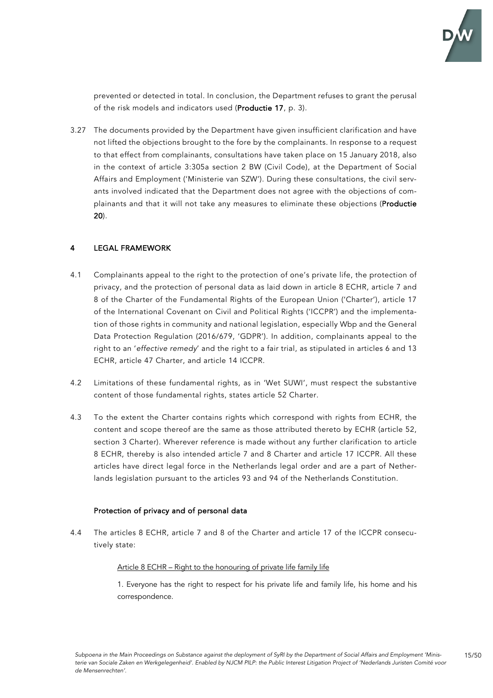

15/50

prevented or detected in total. In conclusion, the Department refuses to grant the perusal of the risk models and indicators used (Productie 17, p. 3).

3.27 The documents provided by the Department have given insufficient clarification and have not lifted the objections brought to the fore by the complainants. In response to a request to that effect from complainants, consultations have taken place on 15 January 2018, also in the context of article 3:305a section 2 BW (Civil Code), at the Department of Social Affairs and Employment ('Ministerie van SZW'). During these consultations, the civil servants involved indicated that the Department does not agree with the objections of complainants and that it will not take any measures to eliminate these objections (Productie 20).

## LEGAL FRAMEWORK

- 4.1 Complainants appeal to the right to the protection of one's private life, the protection of privacy, and the protection of personal data as laid down in article 8 ECHR, article 7 and 8 of the Charter of the Fundamental Rights of the European Union ('Charter'), article 17 of the International Covenant on Civil and Political Rights ('ICCPR') and the implementation of those rights in community and national legislation, especially Wbp and the General Data Protection Regulation (2016/679, 'GDPR'). In addition, complainants appeal to the right to an '*effective remedy*' and the right to a fair trial, as stipulated in articles 6 and 13 ECHR, article 47 Charter, and article 14 ICCPR.
- 4.2 Limitations of these fundamental rights, as in 'Wet SUWI', must respect the substantive content of those fundamental rights, states article 52 Charter.
- 4.3 To the extent the Charter contains rights which correspond with rights from ECHR, the content and scope thereof are the same as those attributed thereto by ECHR (article 52, section 3 Charter). Wherever reference is made without any further clarification to article 8 ECHR, thereby is also intended article 7 and 8 Charter and article 17 ICCPR. All these articles have direct legal force in the Netherlands legal order and are a part of Netherlands legislation pursuant to the articles 93 and 94 of the Netherlands Constitution.

## Protection of privacy and of personal data

4.4 The articles 8 ECHR, article 7 and 8 of the Charter and article 17 of the ICCPR consecutively state:

#### Article 8 ECHR – Right to the honouring of private life family life

1. Everyone has the right to respect for his private life and family life, his home and his correspondence.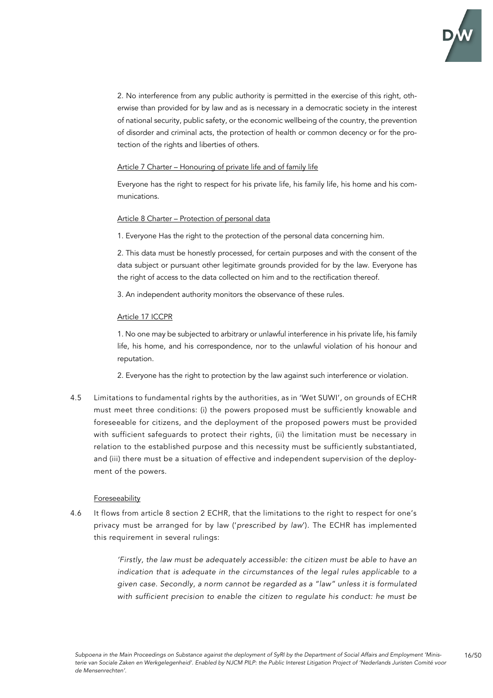

2. No interference from any public authority is permitted in the exercise of this right, otherwise than provided for by law and as is necessary in a democratic society in the interest of national security, public safety, or the economic wellbeing of the country, the prevention of disorder and criminal acts, the protection of health or common decency or for the protection of the rights and liberties of others.

### Article 7 Charter – Honouring of private life and of family life

Everyone has the right to respect for his private life, his family life, his home and his communications.

### Article 8 Charter – Protection of personal data

1. Everyone Has the right to the protection of the personal data concerning him.

2. This data must be honestly processed, for certain purposes and with the consent of the data subject or pursuant other legitimate grounds provided for by the law. Everyone has the right of access to the data collected on him and to the rectification thereof.

3. An independent authority monitors the observance of these rules.

### Article 17 ICCPR

1. No one may be subjected to arbitrary or unlawful interference in his private life, his family life, his home, and his correspondence, nor to the unlawful violation of his honour and reputation.

2. Everyone has the right to protection by the law against such interference or violation.

4.5 Limitations to fundamental rights by the authorities, as in 'Wet SUWI', on grounds of ECHR must meet three conditions: (i) the powers proposed must be sufficiently knowable and foreseeable for citizens, and the deployment of the proposed powers must be provided with sufficient safeguards to protect their rights, (ii) the limitation must be necessary in relation to the established purpose and this necessity must be sufficiently substantiated, and (iii) there must be a situation of effective and independent supervision of the deployment of the powers.

#### Foreseeability

4.6 It flows from article 8 section 2 ECHR, that the limitations to the right to respect for one's privacy must be arranged for by law ('*prescribed by law*'). The ECHR has implemented this requirement in several rulings:

> *'Firstly, the law must be adequately accessible: the citizen must be able to have an indication that is adequate in the circumstances of the legal rules applicable to a given case. Secondly, a norm cannot be regarded as a "law" unless it is formulated with sufficient precision to enable the citizen to regulate his conduct: he must be*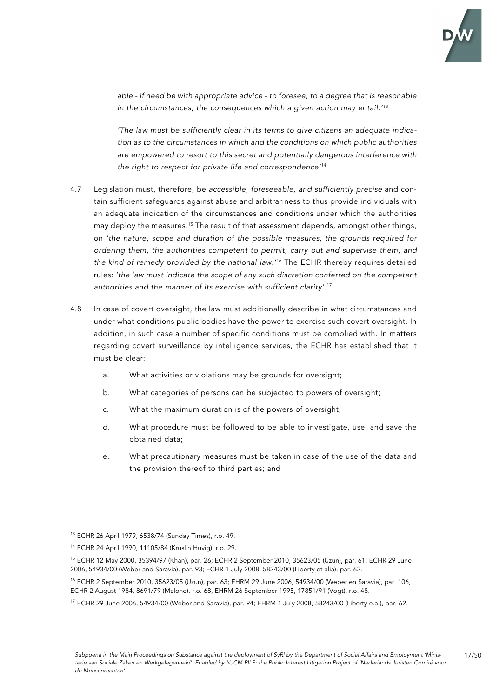

*able - if need be with appropriate advice - to foresee, to a degree that is reasonable in the circumstances, the consequences which a given action may entail.' 13*

*'The law must be sufficiently clear in its terms to give citizens an adequate indication as to the circumstances in which and the conditions on which public authorities are empowered to resort to this secret and potentially dangerous interference with the right to respect for private life and correspondence' 14*

- 4.7 Legislation must, therefore, be *accessible*, *foreseeable, and sufficiently precise* and contain sufficient safeguards against abuse and arbitrariness to thus provide individuals with an adequate indication of the circumstances and conditions under which the authorities may deploy the measures. <sup>15</sup> The result of that assessment depends, amongst other things, on *'the nature, scope and duration of the possible measures, the grounds required for ordering them, the authorities competent to permit, carry out and supervise them, and the kind of remedy provided by the national law.'* <sup>16</sup> The ECHR thereby requires detailed rules: *'the law must indicate the scope of any such discretion conferred on the competent authorities and the manner of its exercise with sufficient clarity'*. 17
- 4.8 In case of covert oversight, the law must additionally describe in what circumstances and under what conditions public bodies have the power to exercise such covert oversight. In addition, in such case a number of specific conditions must be complied with. In matters regarding covert surveillance by intelligence services, the ECHR has established that it must be clear:
	- a. What activities or violations may be grounds for oversight;
	- b. What categories of persons can be subjected to powers of oversight;
	- c. What the maximum duration is of the powers of oversight;
	- d. What procedure must be followed to be able to investigate, use, and save the obtained data;
	- e. What precautionary measures must be taken in case of the use of the data and the provision thereof to third parties; and

<sup>13</sup> ECHR 26 April 1979, 6538/74 (Sunday Times), r.o. 49.

<sup>14</sup> ECHR 24 April 1990, 11105/84 (Kruslin Huvig), r.o. 29.

<sup>15</sup> ECHR 12 May 2000, 35394/97 (Khan), par. 26; ECHR 2 September 2010, 35623/05 (Uzun), par. 61; ECHR 29 June 2006, 54934/00 (Weber and Saravia), par. 93; ECHR 1 July 2008, 58243/00 (Liberty et alia), par. 62.

<sup>16</sup> ECHR 2 September 2010, 35623/05 (Uzun), par. 63; EHRM 29 June 2006, 54934/00 (Weber en Saravia), par. 106, ECHR 2 August 1984, 8691/79 (Malone), r.o. 68, EHRM 26 September 1995, 17851/91 (Vogt), r.o. 48.

 $17$  ECHR 29 June 2006, 54934/00 (Weber and Saravia), par. 94; EHRM 1 July 2008, 58243/00 (Liberty e.a.), par. 62.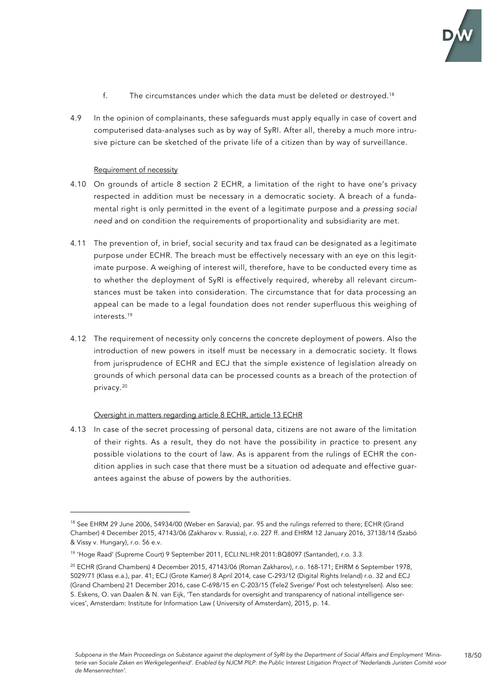

- f. The circumstances under which the data must be deleted or destroyed.<sup>18</sup>
- 4.9 In the opinion of complainants, these safeguards must apply equally in case of covert and computerised data-analyses such as by way of SyRI. After all, thereby a much more intrusive picture can be sketched of the private life of a citizen than by way of surveillance.

#### Requirement of necessity

- 4.10 On grounds of article 8 section 2 ECHR, a limitation of the right to have one's privacy respected in addition must be necessary in a democratic society. A breach of a fundamental right is only permitted in the event of a legitimate purpose and a *pressing social need* and on condition the requirements of proportionality and subsidiarity are met.
- 4.11 The prevention of, in brief, social security and tax fraud can be designated as a legitimate purpose under ECHR. The breach must be effectively necessary with an eye on this legitimate purpose. A weighing of interest will, therefore, have to be conducted every time as to whether the deployment of SyRI is effectively required, whereby all relevant circumstances must be taken into consideration. The circumstance that for data processing an appeal can be made to a legal foundation does not render superfluous this weighing of interests. 19
- 4.12 The requirement of necessity only concerns the concrete deployment of powers. Also the introduction of new powers in itself must be necessary in a democratic society. It flows from jurisprudence of ECHR and ECJ that the simple existence of legislation already on grounds of which personal data can be processed counts as a breach of the protection of privacy. 20

#### Oversight in matters regarding article 8 ECHR, article 13 ECHR

4.13 In case of the secret processing of personal data, citizens are not aware of the limitation of their rights. As a result, they do not have the possibility in practice to present any possible violations to the court of law. As is apparent from the rulings of ECHR the condition applies in such case that there must be a situation od adequate and effective guarantees against the abuse of powers by the authorities.

<sup>&</sup>lt;sup>18</sup> See EHRM 29 June 2006, 54934/00 (Weber en Saravia), par. 95 and the rulings referred to there; ECHR (Grand Chamber) 4 December 2015, 47143/06 (Zakharov v. Russia), r.o. 227 ff. and EHRM 12 January 2016, 37138/14 (Szabó & Vissy v. Hungary), r.o. 56 e.v.

<sup>19</sup> 'Hoge Raad' (Supreme Court) 9 September 2011, ECLI:NL:HR:2011:BQ8097 (Santander), r.o. 3.3.

<sup>20</sup> ECHR (Grand Chambers) 4 December 2015, 47143/06 (Roman Zakharov), r.o. 168-171; EHRM 6 September 1978, 5029/71 (Klass e.a.), par. 41; ECJ (Grote Kamer) 8 April 2014, case C-293/12 (Digital Rights Ireland) r.o. 32 and ECJ (Grand Chambers) 21 December 2016, case C-698/15 en C-203/15 (Tele2 Sverige/ Post och telestyrelsen). Also see: S. Eskens, O. van Daalen & N. van Eijk, 'Ten standards for oversight and transparency of national intelligence services', Amsterdam: Institute for Information Law ( University of Amsterdam), 2015, p. 14.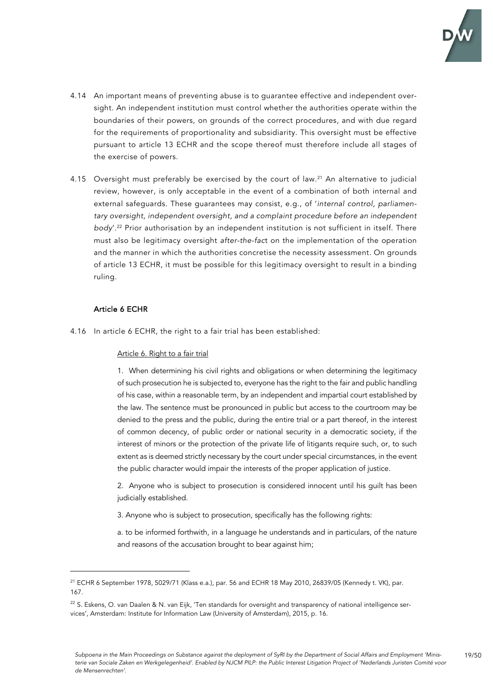

- 4.14 An important means of preventing abuse is to guarantee effective and independent oversight. An independent institution must control whether the authorities operate within the boundaries of their powers, on grounds of the correct procedures, and with due regard for the requirements of proportionality and subsidiarity. This oversight must be effective pursuant to article 13 ECHR and the scope thereof must therefore include all stages of the exercise of powers.
- 4.15 Oversight must preferably be exercised by the court of law. <sup>21</sup> An alternative to judicial review, however, is only acceptable in the event of a combination of both internal and external safeguards. These guarantees may consist, e.g., of '*internal control, parliamentary oversight, independent oversight, and a complaint procedure before an independent body*'. <sup>22</sup> Prior authorisation by an independent institution is not sufficient in itself. There must also be legitimacy oversight *after-the-fac*t on the implementation of the operation and the manner in which the authorities concretise the necessity assessment. On grounds of article 13 ECHR, it must be possible for this legitimacy oversight to result in a binding ruling.

### Article 6 ECHR

4.16 In article 6 ECHR, the right to a fair trial has been established:

#### Article 6. Right to a fair trial

1. When determining his civil rights and obligations or when determining the legitimacy of such prosecution he is subjected to, everyone has the right to the fair and public handling of his case, within a reasonable term, by an independent and impartial court established by the law. The sentence must be pronounced in public but access to the courtroom may be denied to the press and the public, during the entire trial or a part thereof, in the interest of common decency, of public order or national security in a democratic society, if the interest of minors or the protection of the private life of litigants require such, or, to such extent as is deemed strictly necessary by the court under special circumstances, in the event the public character would impair the interests of the proper application of justice.

2. Anyone who is subject to prosecution is considered innocent until his guilt has been judicially established.

3. Anyone who is subject to prosecution, specifically has the following rights:

a. to be informed forthwith, in a language he understands and in particulars, of the nature and reasons of the accusation brought to bear against him;

<sup>&</sup>lt;sup>21</sup> ECHR 6 September 1978, 5029/71 (Klass e.a.), par. 56 and ECHR 18 May 2010, 26839/05 (Kennedy t. VK), par. 167.

<sup>&</sup>lt;sup>22</sup> S. Eskens, O. van Daalen & N. van Eijk, 'Ten standards for oversight and transparency of national intelligence services', Amsterdam: Institute for Information Law (University of Amsterdam), 2015, p. 16.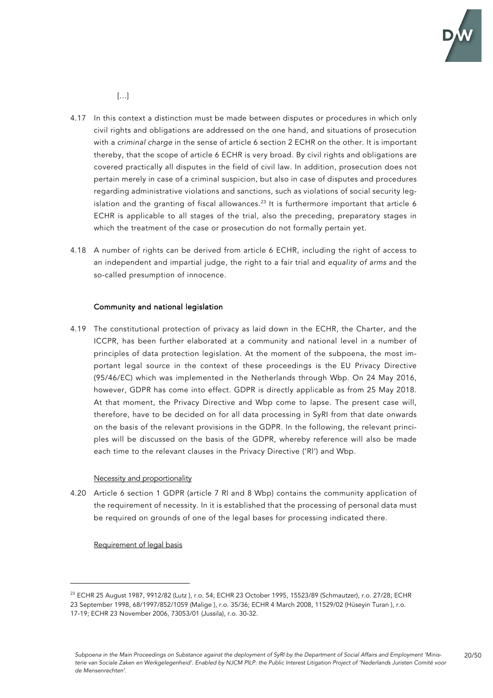

 $[...]$ 

- 4.17 In this context a distinction must be made between disputes or procedures in which only civil rights and obligations are addressed on the one hand, and situations of prosecution with a *criminal charge* in the sense of article 6 section 2 ECHR on the other. It is important thereby, that the scope of article 6 ECHR is very broad. By civil rights and obligations are covered practically all disputes in the field of civil law. In addition, prosecution does not pertain merely in case of a criminal suspicion, but also in case of disputes and procedures regarding administrative violations and sanctions, such as violations of social security legislation and the granting of fiscal allowances. $^{23}$  It is furthermore important that article 6 ECHR is applicable to all stages of the trial, also the preceding, preparatory stages in which the treatment of the case or prosecution do not formally pertain yet.
- 4.18 A number of rights can be derived from article 6 ECHR, including the right of access to an independent and impartial judge, the right to a fair trial and *equality of arms* and the so-called presumption of innocence.

### Community and national legislation

4.19 The constitutional protection of privacy as laid down in the ECHR, the Charter, and the ICCPR, has been further elaborated at a community and national level in a number of principles of data protection legislation. At the moment of the subpoena, the most important legal source in the context of these proceedings is the EU Privacy Directive (95/46/EC) which was implemented in the Netherlands through Wbp. On 24 May 2016, however, GDPR has come into effect. GDPR is directly applicable as from 25 May 2018. At that moment, the Privacy Directive and Wbp come to lapse. The present case will, therefore, have to be decided on for all data processing in SyRI from that date onwards on the basis of the relevant provisions in the GDPR. In the following, the relevant principles will be discussed on the basis of the GDPR, whereby reference will also be made each time to the relevant clauses in the Privacy Directive ('Rl') and Wbp.

#### Necessity and proportionality

4.20 Article 6 section 1 GDPR (article 7 Rl and 8 Wbp) contains the community application of the requirement of necessity. In it is established that the processing of personal data must be required on grounds of one of the legal bases for processing indicated there.

#### Requirement of legal basis

<sup>23</sup> ECHR 25 August 1987, 9912/82 (Lutz ), r.o. 54; ECHR 23 October 1995, 15523/89 (Schmautzer), r.o. 27/28; ECHR 23 September 1998, 68/1997/852/1059 (Malige ), r.o. 35/36; ECHR 4 March 2008, 11529/02 (Hüseyin Turan ), r.o. 17-19; ECHR 23 November 2006, 73053/01 (Jussila), r.o. 30-32.

*Subpoena in the Main Proceedings on Substance against the deployment of SyRI by the Department of Social Affairs and Employment 'Ministerie van Sociale Zaken en Werkgelegenheid'. Enabled by NJCM PILP: the Public Interest Litigation Project of 'Nederlands Juristen Comité voor de Mensenrechten'.*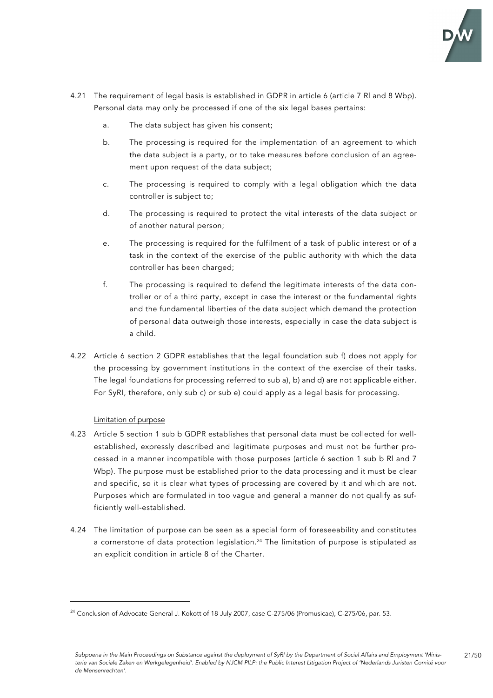

- 4.21 The requirement of legal basis is established in GDPR in article 6 (article 7 Rl and 8 Wbp). Personal data may only be processed if one of the six legal bases pertains:
	- a. The data subject has given his consent;
	- b. The processing is required for the implementation of an agreement to which the data subject is a party, or to take measures before conclusion of an agreement upon request of the data subject;
	- c. The processing is required to comply with a legal obligation which the data controller is subject to;
	- d. The processing is required to protect the vital interests of the data subject or of another natural person;
	- e. The processing is required for the fulfilment of a task of public interest or of a task in the context of the exercise of the public authority with which the data controller has been charged;
	- f. The processing is required to defend the legitimate interests of the data controller or of a third party, except in case the interest or the fundamental rights and the fundamental liberties of the data subject which demand the protection of personal data outweigh those interests, especially in case the data subject is a child.
- 4.22 Article 6 section 2 GDPR establishes that the legal foundation sub f) does not apply for the processing by government institutions in the context of the exercise of their tasks. The legal foundations for processing referred to sub a), b) and d) are not applicable either. For SyRI, therefore, only sub c) or sub e) could apply as a legal basis for processing.

## Limitation of purpose

- 4.23 Article 5 section 1 sub b GDPR establishes that personal data must be collected for wellestablished, expressly described and legitimate purposes and must not be further processed in a manner incompatible with those purposes (article 6 section 1 sub b Rl and 7 Wbp). The purpose must be established prior to the data processing and it must be clear and specific, so it is clear what types of processing are covered by it and which are not. Purposes which are formulated in too vague and general a manner do not qualify as sufficiently well-established.
- 4.24 The limitation of purpose can be seen as a special form of foreseeability and constitutes a cornerstone of data protection legislation. <sup>24</sup> The limitation of purpose is stipulated as an explicit condition in article 8 of the Charter.

<sup>&</sup>lt;sup>24</sup> Conclusion of Advocate General J. Kokott of 18 July 2007, case C-275/06 (Promusicae), C-275/06, par. 53.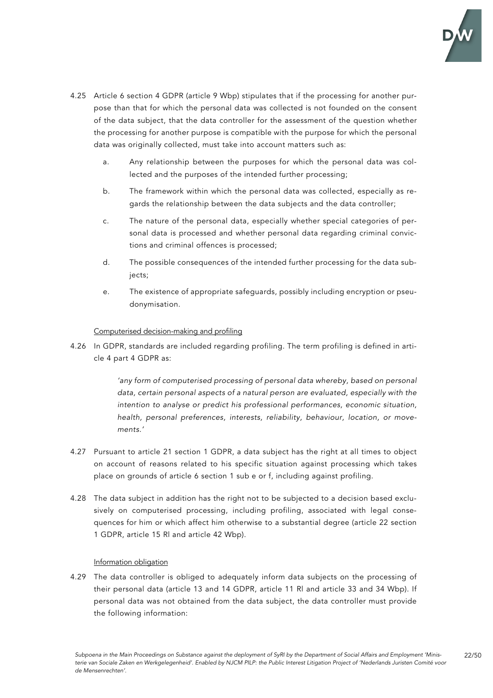

- 4.25 Article 6 section 4 GDPR (article 9 Wbp) stipulates that if the processing for another purpose than that for which the personal data was collected is not founded on the consent of the data subject, that the data controller for the assessment of the question whether the processing for another purpose is compatible with the purpose for which the personal data was originally collected, must take into account matters such as:
	- a. Any relationship between the purposes for which the personal data was collected and the purposes of the intended further processing;
	- b. The framework within which the personal data was collected, especially as regards the relationship between the data subjects and the data controller;
	- c. The nature of the personal data, especially whether special categories of personal data is processed and whether personal data regarding criminal convictions and criminal offences is processed;
	- d. The possible consequences of the intended further processing for the data subjects;
	- e. The existence of appropriate safeguards, possibly including encryption or pseudonymisation.

### Computerised decision-making and profiling

4.26 In GDPR, standards are included regarding profiling. The term profiling is defined in article 4 part 4 GDPR as:

> *'any form of computerised processing of personal data whereby, based on personal data, certain personal aspects of a natural person are evaluated, especially with the intention to analyse or predict his professional performances, economic situation, health, personal preferences, interests, reliability, behaviour, location, or movements.'*

- 4.27 Pursuant to article 21 section 1 GDPR, a data subject has the right at all times to object on account of reasons related to his specific situation against processing which takes place on grounds of article 6 section 1 sub e or f, including against profiling.
- 4.28 The data subject in addition has the right not to be subjected to a decision based exclusively on computerised processing, including profiling, associated with legal consequences for him or which affect him otherwise to a substantial degree (article 22 section 1 GDPR, article 15 Rl and article 42 Wbp).

### Information obligation

4.29 The data controller is obliged to adequately inform data subjects on the processing of their personal data (article 13 and 14 GDPR, article 11 Rl and article 33 and 34 Wbp). If personal data was not obtained from the data subject, the data controller must provide the following information: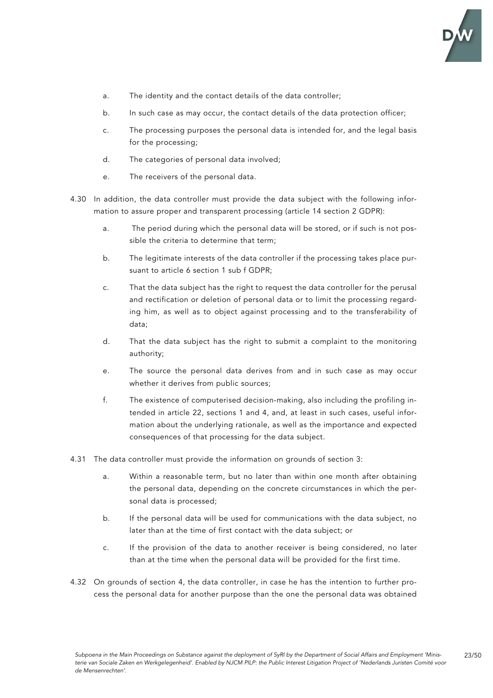

- a. The identity and the contact details of the data controller;
- b. In such case as may occur, the contact details of the data protection officer;
- c. The processing purposes the personal data is intended for, and the legal basis for the processing;
- d. The categories of personal data involved;
- e. The receivers of the personal data.
- 4.30 In addition, the data controller must provide the data subject with the following information to assure proper and transparent processing (article 14 section 2 GDPR):
	- a. The period during which the personal data will be stored, or if such is not possible the criteria to determine that term;
	- b. The legitimate interests of the data controller if the processing takes place pursuant to article 6 section 1 sub f GDPR;
	- c. That the data subject has the right to request the data controller for the perusal and rectification or deletion of personal data or to limit the processing regarding him, as well as to object against processing and to the transferability of data;
	- d. That the data subject has the right to submit a complaint to the monitoring authority;
	- e. The source the personal data derives from and in such case as may occur whether it derives from public sources;
	- f. The existence of computerised decision-making, also including the profiling intended in article 22, sections 1 and 4, and, at least in such cases, useful information about the underlying rationale, as well as the importance and expected consequences of that processing for the data subject.
- 4.31 The data controller must provide the information on grounds of section 3:
	- a. Within a reasonable term, but no later than within one month after obtaining the personal data, depending on the concrete circumstances in which the personal data is processed;
	- b. If the personal data will be used for communications with the data subject, no later than at the time of first contact with the data subject; or
	- c. If the provision of the data to another receiver is being considered, no later than at the time when the personal data will be provided for the first time.
- 4.32 On grounds of section 4, the data controller, in case he has the intention to further process the personal data for another purpose than the one the personal data was obtained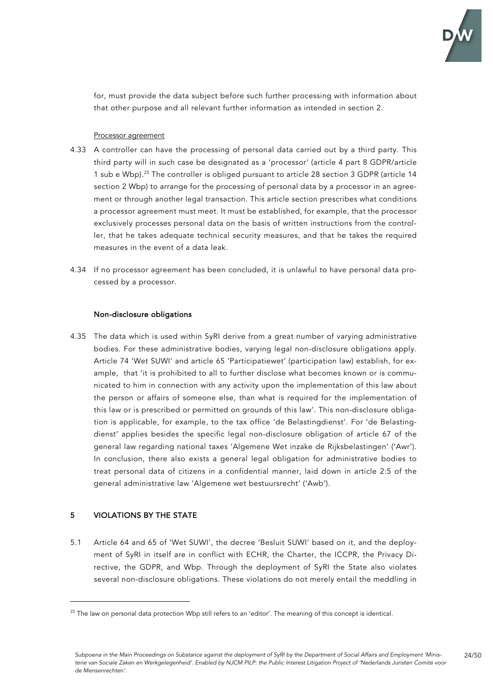

for, must provide the data subject before such further processing with information about that other purpose and all relevant further information as intended in section 2.

#### Processor agreement

- 4.33 A controller can have the processing of personal data carried out by a third party. This third party will in such case be designated as a 'processor' (article 4 part 8 GDPR/article 1 sub e Wbp).<sup>25</sup> The controller is obliged pursuant to article 28 section 3 GDPR (article 14 section 2 Wbp) to arrange for the processing of personal data by a processor in an agreement or through another legal transaction. This article section prescribes what conditions a processor agreement must meet. It must be established, for example, that the processor exclusively processes personal data on the basis of written instructions from the controller, that he takes adequate technical security measures, and that he takes the required measures in the event of a data leak.
- 4.34 If no processor agreement has been concluded, it is unlawful to have personal data processed by a processor.

### Non-disclosure obligations

4.35 The data which is used within SyRI derive from a great number of varying administrative bodies. For these administrative bodies, varying legal non-disclosure obligations apply. Article 74 'Wet SUWI' and article 65 'Participatiewet' (participation law) establish, for example, that 'it is prohibited to all to further disclose what becomes known or is communicated to him in connection with any activity upon the implementation of this law about the person or affairs of someone else, than what is required for the implementation of this law or is prescribed or permitted on grounds of this law'. This non-disclosure obligation is applicable, for example, to the tax office 'de Belastingdienst'. For 'de Belastingdienst' applies besides the specific legal non-disclosure obligation of article 67 of the general law regarding national taxes 'Algemene Wet inzake de Rijksbelastingen' ('Awr'). In conclusion, there also exists a general legal obligation for administrative bodies to treat personal data of citizens in a confidential manner, laid down in article 2:5 of the general administrative law 'Algemene wet bestuursrecht' ('Awb').

# 5 VIOLATIONS BY THE STATE

5.1 Article 64 and 65 of 'Wet SUWI', the decree 'Besluit SUWI' based on it, and the deployment of SyRI in itself are in conflict with ECHR, the Charter, the ICCPR, the Privacy Directive, the GDPR, and Wbp. Through the deployment of SyRI the State also violates several non-disclosure obligations. These violations do not merely entail the meddling in

<sup>&</sup>lt;sup>25</sup> The law on personal data protection Wbp still refers to an 'editor'. The meaning of this concept is identical.

*Subpoena in the Main Proceedings on Substance against the deployment of SyRI by the Department of Social Affairs and Employment 'Ministerie van Sociale Zaken en Werkgelegenheid'. Enabled by NJCM PILP: the Public Interest Litigation Project of 'Nederlands Juristen Comité voor de Mensenrechten'.* 24/50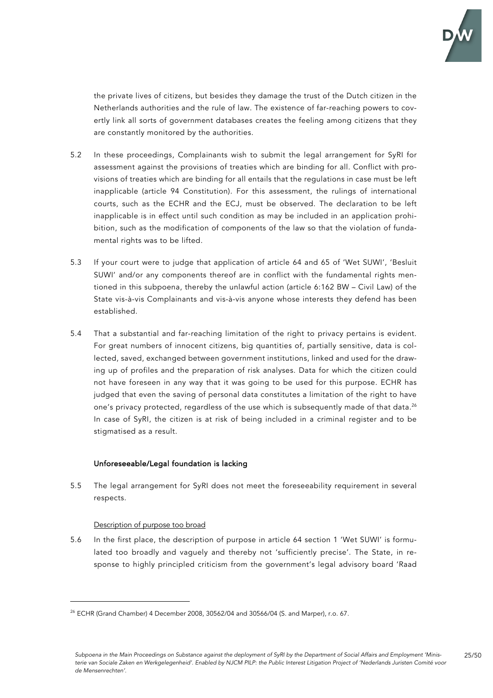

the private lives of citizens, but besides they damage the trust of the Dutch citizen in the Netherlands authorities and the rule of law. The existence of far-reaching powers to covertly link all sorts of government databases creates the feeling among citizens that they are constantly monitored by the authorities.

- 5.2 In these proceedings, Complainants wish to submit the legal arrangement for SyRI for assessment against the provisions of treaties which are binding for all. Conflict with provisions of treaties which are binding for all entails that the regulations in case must be left inapplicable (article 94 Constitution). For this assessment, the rulings of international courts, such as the ECHR and the ECJ, must be observed. The declaration to be left inapplicable is in effect until such condition as may be included in an application prohibition, such as the modification of components of the law so that the violation of fundamental rights was to be lifted.
- 5.3 If your court were to judge that application of article 64 and 65 of 'Wet SUWI', 'Besluit SUWI' and/or any components thereof are in conflict with the fundamental rights mentioned in this subpoena, thereby the unlawful action (article 6:162 BW – Civil Law) of the State vis-à-vis Complainants and vis-à-vis anyone whose interests they defend has been established.
- 5.4 That a substantial and far-reaching limitation of the right to privacy pertains is evident. For great numbers of innocent citizens, big quantities of, partially sensitive, data is collected, saved, exchanged between government institutions, linked and used for the drawing up of profiles and the preparation of risk analyses. Data for which the citizen could not have foreseen in any way that it was going to be used for this purpose. ECHR has judged that even the saving of personal data constitutes a limitation of the right to have one's privacy protected, regardless of the use which is subsequently made of that data. $^{26}\,$ In case of SyRI, the citizen is at risk of being included in a criminal register and to be stigmatised as a result.

## Unforeseeable/Legal foundation is lacking

5.5 The legal arrangement for SyRI does not meet the foreseeability requirement in several respects.

#### Description of purpose too broad

5.6 In the first place, the description of purpose in article 64 section 1 'Wet SUWI' is formulated too broadly and vaguely and thereby not 'sufficiently precise'. The State, in response to highly principled criticism from the government's legal advisory board 'Raad

 $^{26}$  ECHR (Grand Chamber) 4 December 2008, 30562/04 and 30566/04 (S. and Marper), r.o. 67.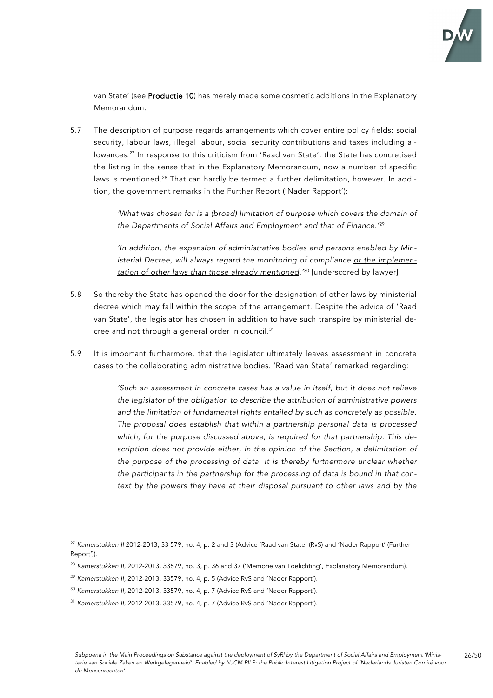

van State' (see Productie 10) has merely made some cosmetic additions in the Explanatory Memorandum.

5.7 The description of purpose regards arrangements which cover entire policy fields: social security, labour laws, illegal labour, social security contributions and taxes including allowances. <sup>27</sup> In response to this criticism from 'Raad van State', the State has concretised the listing in the sense that in the Explanatory Memorandum, now a number of specific laws is mentioned. <sup>28</sup> That can hardly be termed a further delimitation, however. In addition, the government remarks in the Further Report ('Nader Rapport'):

> *'What was chosen for is a (broad) limitation of purpose which covers the domain of the Departments of Social Affairs and Employment and that of Finance.'* 29

> *'In addition, the expansion of administrative bodies and persons enabled by Ministerial Decree, will always regard the monitoring of compliance or the implementation of other laws than those already mentioned.'* <sup>30</sup> [underscored by lawyer]

- 5.8 So thereby the State has opened the door for the designation of other laws by ministerial decree which may fall within the scope of the arrangement. Despite the advice of 'Raad van State', the legislator has chosen in addition to have such transpire by ministerial decree and not through a general order in council. 31
- 5.9 It is important furthermore, that the legislator ultimately leaves assessment in concrete cases to the collaborating administrative bodies. 'Raad van State' remarked regarding:

*'Such an assessment in concrete cases has a value in itself, but it does not relieve the legislator of the obligation to describe the attribution of administrative powers and the limitation of fundamental rights entailed by such as concretely as possible. The proposal does establish that within a partnership personal data is processed which, for the purpose discussed above, is required for that partnership. This description does not provide either, in the opinion of the Section, a delimitation of the purpose of the processing of data. It is thereby furthermore unclear whether the participants in the partnership for the processing of data is bound in that con*text by the powers they have at their disposal pursuant to other laws and by the

<sup>27</sup> *Kamerstukken II* 2012-2013, 33 579, no. 4, p. 2 and 3 (Advice 'Raad van State' (RvS) and 'Nader Rapport' (Further Report')).

<sup>28</sup> *Kamerstukken II*, 2012-2013, 33579, no. 3, p. 36 and 37 ('Memorie van Toelichting', Explanatory Memorandum).

<sup>29</sup> *Kamerstukken II*, 2012-2013, 33579, no. 4, p. 5 (Advice RvS and 'Nader Rapport').

<sup>30</sup> *Kamerstukken II*, 2012-2013, 33579, no. 4, p. 7 (Advice RvS and 'Nader Rapport').

<sup>31</sup> *Kamerstukken II*, 2012-2013, 33579, no. 4, p. 7 (Advice RvS and 'Nader Rapport').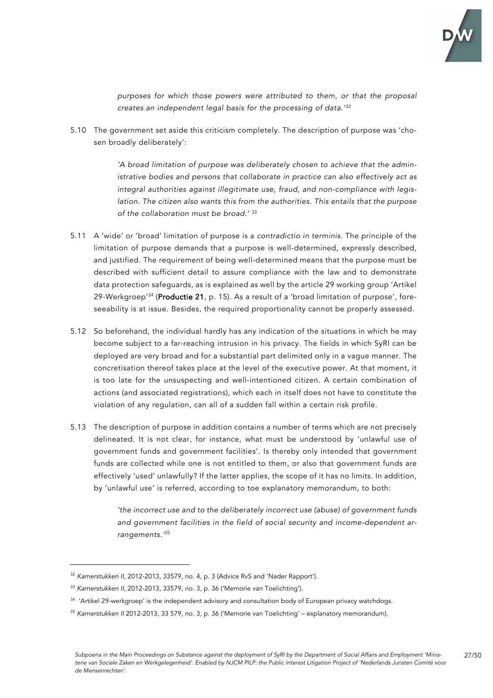

*purposes for which those powers were attributed to them, or that the proposal creates an independent legal basis for the processing of data.' 32*

5.10 The government set aside this criticism completely. The description of purpose was 'chosen broadly deliberately':

> *'A broad limitation of purpose was deliberately chosen to achieve that the administrative bodies and persons that collaborate in practice can also effectively act as integral authorities against illegitimate use, fraud, and non-compliance with legislation. The citizen also wants this from the authorities. This entails that the purpose of the collaboration must be broad.'* <sup>33</sup>

- 5.11 A 'wide' or 'broad' limitation of purpose is a *contradictio in terminis*. The principle of the limitation of purpose demands that a purpose is well-determined, expressly described, and justified. The requirement of being well-determined means that the purpose must be described with sufficient detail to assure compliance with the law and to demonstrate data protection safeguards, as is explained as well by the article 29 working group 'Artikel 29-Werkgroep'<sup>34</sup> (**Productie 21**, p. 15). As a result of a 'broad limitation of purpose', foreseeability is at issue. Besides, the required proportionality cannot be properly assessed.
- 5.12 So beforehand, the individual hardly has any indication of the situations in which he may become subject to a far-reaching intrusion in his privacy. The fields in which SyRI can be deployed are very broad and for a substantial part delimited only in a vague manner. The concretisation thereof takes place at the level of the executive power. At that moment, it is too late for the unsuspecting and well-intentioned citizen. A certain combination of actions (and associated registrations), which each in itself does not have to constitute the violation of any regulation, can all of a sudden fall within a certain risk profile.
- 5.13 The description of purpose in addition contains a number of terms which are not precisely delineated. It is not clear, for instance, what must be understood by 'unlawful use of government funds and government facilities'. Is thereby only intended that government funds are collected while one is not entitled to them, or also that government funds are effectively 'used' unlawfully? If the latter applies, the scope of it has no limits. In addition, by 'unlawful use' is referred, according to toe explanatory memorandum, to both:

*'the incorrect use and to the deliberately incorrect use (abuse) of government funds and government facilities in the field of social security and income-dependent arrangements.'* 35

<sup>32</sup> *Kamerstukken II*, 2012-2013, 33579, no. 4, p. 3 (Advice RvS and 'Nader Rapport').

<sup>33</sup> *Kamerstukken II*, 2012-2013, 33579, no. 3, p. 36 ('Memorie van Toelichting').

 $34$  'Artikel 29-werkgroep' is the independent advisory and consultation body of European privacy watchdogs.

<sup>35</sup> *Kamerstukken II* 2012-2013, 33 579, no. 3, p. 36 ('Memorie van Toelichting' – explanatory memorandum).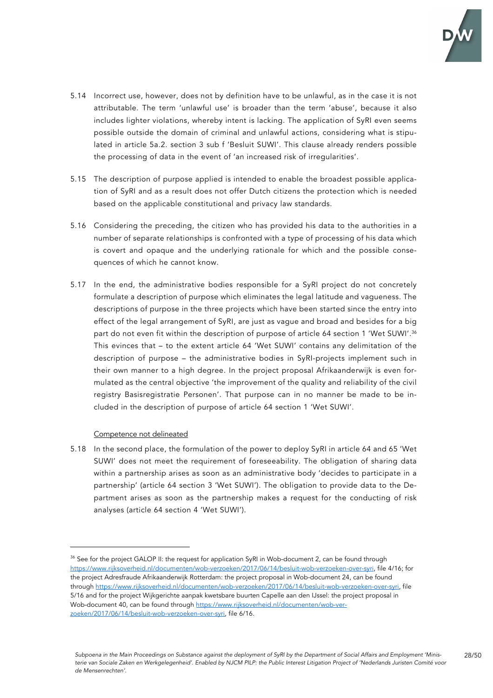

- 5.14 Incorrect use, however, does not by definition have to be unlawful, as in the case it is not attributable. The term 'unlawful use' is broader than the term 'abuse', because it also includes lighter violations, whereby intent is lacking. The application of SyRI even seems possible outside the domain of criminal and unlawful actions, considering what is stipulated in article 5a.2. section 3 sub f 'Besluit SUWI'. This clause already renders possible the processing of data in the event of 'an increased risk of irregularities'.
- 5.15 The description of purpose applied is intended to enable the broadest possible application of SyRI and as a result does not offer Dutch citizens the protection which is needed based on the applicable constitutional and privacy law standards.
- 5.16 Considering the preceding, the citizen who has provided his data to the authorities in a number of separate relationships is confronted with a type of processing of his data which is covert and opaque and the underlying rationale for which and the possible consequences of which he cannot know.
- 5.17 In the end, the administrative bodies responsible for a SyRI project do not concretely formulate a description of purpose which eliminates the legal latitude and vagueness. The descriptions of purpose in the three projects which have been started since the entry into effect of the legal arrangement of SyRI, are just as vague and broad and besides for a big part do not even fit within the description of purpose of article 64 section 1 'Wet SUWI'. $^{\rm 36}$ This evinces that – to the extent article 64 'Wet SUWI' contains any delimitation of the description of purpose – the administrative bodies in SyRI-projects implement such in their own manner to a high degree. In the project proposal Afrikaanderwijk is even formulated as the central objective 'the improvement of the quality and reliability of the civil registry Basisregistratie Personen'. That purpose can in no manner be made to be included in the description of purpose of article 64 section 1 'Wet SUWI'.

## Competence not delineated

5.18 In the second place, the formulation of the power to deploy SyRI in article 64 and 65 'Wet SUWI' does not meet the requirement of foreseeability. The obligation of sharing data within a partnership arises as soon as an administrative body 'decides to participate in a partnership' (article 64 section 3 'Wet SUWI'). The obligation to provide data to the Department arises as soon as the partnership makes a request for the conducting of risk analyses (article 64 section 4 'Wet SUWI').

 $36$  See for the project GALOP II: the request for application SvRI in Wob-document 2, can be found through https://www.rijksoverheid.nl/documenten/wob-verzoeken/2017/06/14/besluit-wob-verzoeken-over-syri, file 4/16; for the project Adresfraude Afrikaanderwijk Rotterdam: the project proposal in Wob-document 24, can be found through https://www.rijksoverheid.nl/documenten/wob-verzoeken/2017/06/14/besluit-wob-verzoeken-over-syri, file 5/16 and for the project Wijkgerichte aanpak kwetsbare buurten Capelle aan den IJssel: the project proposal in Wob-document 40, can be found through https://www.rijksoverheid.nl/documenten/wob-verzoeken/2017/06/14/besluit-wob-verzoeken-over-syri, file 6/16.

*Subpoena in the Main Proceedings on Substance against the deployment of SyRI by the Department of Social Affairs and Employment 'Ministerie van Sociale Zaken en Werkgelegenheid'. Enabled by NJCM PILP: the Public Interest Litigation Project of 'Nederlands Juristen Comité voor de Mensenrechten'.*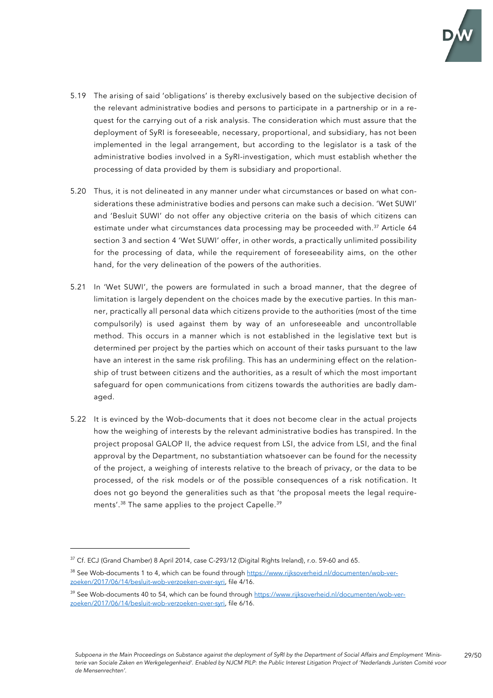

- 5.19 The arising of said 'obligations' is thereby exclusively based on the subjective decision of the relevant administrative bodies and persons to participate in a partnership or in a request for the carrying out of a risk analysis. The consideration which must assure that the deployment of SyRI is foreseeable, necessary, proportional, and subsidiary, has not been implemented in the legal arrangement, but according to the legislator is a task of the administrative bodies involved in a SyRI-investigation, which must establish whether the processing of data provided by them is subsidiary and proportional.
- 5.20 Thus, it is not delineated in any manner under what circumstances or based on what considerations these administrative bodies and persons can make such a decision. 'Wet SUWI' and 'Besluit SUWI' do not offer any objective criteria on the basis of which citizens can estimate under what circumstances data processing may be proceeded with.<sup>37</sup> Article 64 section 3 and section 4 'Wet SUWI' offer, in other words, a practically unlimited possibility for the processing of data, while the requirement of foreseeability aims, on the other hand, for the very delineation of the powers of the authorities.
- 5.21 In 'Wet SUWI', the powers are formulated in such a broad manner, that the degree of limitation is largely dependent on the choices made by the executive parties. In this manner, practically all personal data which citizens provide to the authorities (most of the time compulsorily) is used against them by way of an unforeseeable and uncontrollable method. This occurs in a manner which is not established in the legislative text but is determined per project by the parties which on account of their tasks pursuant to the law have an interest in the same risk profiling. This has an undermining effect on the relationship of trust between citizens and the authorities, as a result of which the most important safeguard for open communications from citizens towards the authorities are badly damaged.
- 5.22 It is evinced by the Wob-documents that it does not become clear in the actual projects how the weighing of interests by the relevant administrative bodies has transpired. In the project proposal GALOP II, the advice request from LSI, the advice from LSI, and the final approval by the Department, no substantiation whatsoever can be found for the necessity of the project, a weighing of interests relative to the breach of privacy, or the data to be processed, of the risk models or of the possible consequences of a risk notification. It does not go beyond the generalities such as that 'the proposal meets the legal requirements'. <sup>38</sup> The same applies to the project Capelle. 39

<sup>&</sup>lt;sup>37</sup> Cf. ECJ (Grand Chamber) 8 April 2014, case C-293/12 (Digital Rights Ireland), r.o. 59-60 and 65.

<sup>&</sup>lt;sup>38</sup> See Wob-documents 1 to 4, which can be found through https://www.rijksoverheid.nl/documenten/wob-verzoeken/2017/06/14/besluit-wob-verzoeken-over-syri, file 4/16.

<sup>&</sup>lt;sup>39</sup> See Wob-documents 40 to 54, which can be found through https://www.rijksoverheid.nl/documenten/wob-verzoeken/2017/06/14/besluit-wob-verzoeken-over-syri, file 6/16.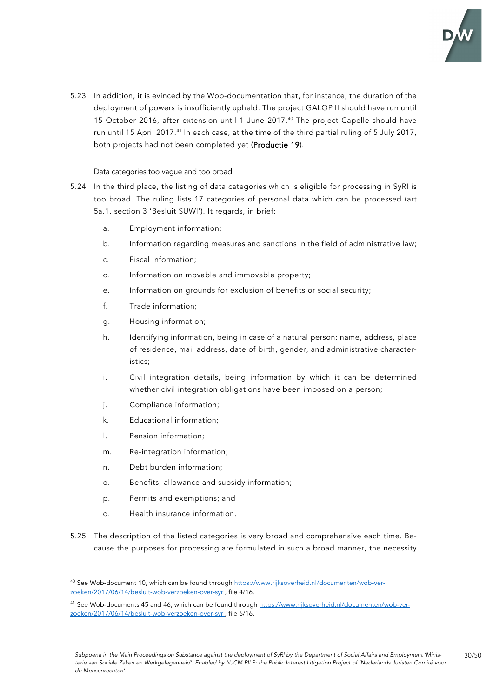

5.23 In addition, it is evinced by the Wob-documentation that, for instance, the duration of the deployment of powers is insufficiently upheld. The project GALOP II should have run until 15 October 2016, after extension until 1 June 2017. <sup>40</sup> The project Capelle should have run until 15 April 2017.<sup>41</sup> In each case, at the time of the third partial ruling of 5 July 2017, both projects had not been completed yet (Productie 19).

### Data categories too vague and too broad

- 5.24 In the third place, the listing of data categories which is eligible for processing in SyRI is too broad. The ruling lists 17 categories of personal data which can be processed (art 5a.1. section 3 'Besluit SUWI'). It regards, in brief:
	- a. Employment information;
	- b. Information regarding measures and sanctions in the field of administrative law;
	- c. Fiscal information;
	- d. Information on movable and immovable property;
	- e. Information on grounds for exclusion of benefits or social security;
	- f. Trade information;
	- g. Housing information;
	- h. Identifying information, being in case of a natural person: name, address, place of residence, mail address, date of birth, gender, and administrative characteristics;
	- i. Civil integration details, being information by which it can be determined whether civil integration obligations have been imposed on a person;
	- j. Compliance information;
	- k. Educational information;
	- l. Pension information;
	- m. Re-integration information;
	- n. Debt burden information;
	- o. Benefits, allowance and subsidy information;
	- p. Permits and exemptions; and
	- q. Health insurance information.
- 5.25 The description of the listed categories is very broad and comprehensive each time. Because the purposes for processing are formulated in such a broad manner, the necessity

<sup>40</sup> See Wob-document 10, which can be found through https://www.rijksoverheid.nl/documenten/wob-verzoeken/2017/06/14/besluit-wob-verzoeken-over-syri, file 4/16.

<sup>&</sup>lt;sup>41</sup> See Wob-documents 45 and 46, which can be found through https://www.rijksoverheid.nl/documenten/wob-verzoeken/2017/06/14/besluit-wob-verzoeken-over-syri, file 6/16.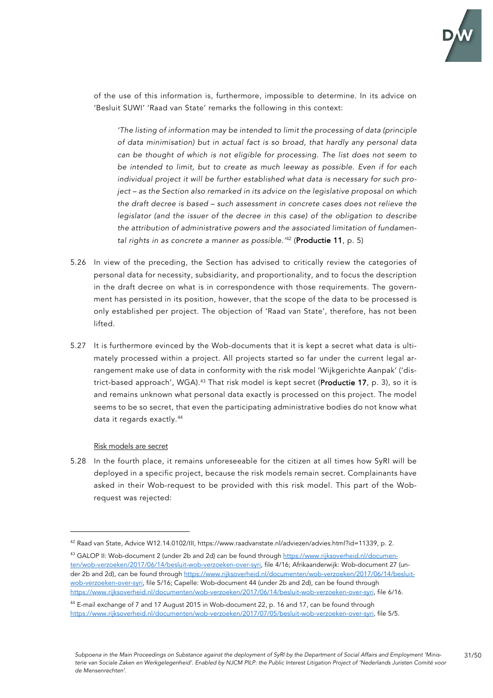

of the use of this information is, furthermore, impossible to determine. In its advice on 'Besluit SUWI' 'Raad van State' remarks the following in this context:

*'The listing of information may be intended to limit the processing of data (principle of data minimisation) but in actual fact is so broad, that hardly any personal data can be thought of which is not eligible for processing. The list does not seem to be intended to limit, but to create as much leeway as possible. Even if for each individual project it will be further established what data is necessary for such project – as the Section also remarked in its advice on the legislative proposal on which the draft decree is based – such assessment in concrete cases does not relieve the legislator (and the issuer of the decree in this case) of the obligation to describe the attribution of administrative powers and the associated limitation of fundamental rights in as concrete a manner as possible.'* <sup>42</sup> (Productie 11, p. 5)

- 5.26 In view of the preceding, the Section has advised to critically review the categories of personal data for necessity, subsidiarity, and proportionality, and to focus the description in the draft decree on what is in correspondence with those requirements. The government has persisted in its position, however, that the scope of the data to be processed is only established per project. The objection of 'Raad van State', therefore, has not been lifted.
- 5.27 It is furthermore evinced by the Wob-documents that it is kept a secret what data is ultimately processed within a project. All projects started so far under the current legal arrangement make use of data in conformity with the risk model 'Wijkgerichte Aanpak' ('district-based approach', WGA).<sup>43</sup> That risk model is kept secret (**Productie 17**, p. 3), so it is and remains unknown what personal data exactly is processed on this project. The model seems to be so secret, that even the participating administrative bodies do not know what data it regards exactly. 44

#### Risk models are secret

5.28 In the fourth place, it remains unforeseeable for the citizen at all times how SyRI will be deployed in a specific project, because the risk models remain secret. Complainants have asked in their Wob-request to be provided with this risk model. This part of the Wobrequest was rejected:

<sup>42</sup> Raad van State, Advice W12.14.0102/III, https://www.raadvanstate.nl/adviezen/advies.html?id=11339, p. 2.

<sup>&</sup>lt;sup>43</sup> GALOP II: Wob-document 2 (under 2b and 2d) can be found through https://www.rijksoverheid.nl/documenten/wob-verzoeken/2017/06/14/besluit-wob-verzoeken-over-syri, file 4/16; Afrikaanderwijk: Wob-document 27 (under 2b and 2d), can be found through https://www.rijksoverheid.nl/documenten/wob-verzoeken/2017/06/14/besluitwob-verzoeken-over-syri, file 5/16; Capelle: Wob-document 44 (under 2b and 2d), can be found through https://www.rijksoverheid.nl/documenten/wob-verzoeken/2017/06/14/besluit-wob-verzoeken-over-syri, file 6/16.

<sup>&</sup>lt;sup>44</sup> E-mail exchange of 7 and 17 August 2015 in Wob-document 22, p. 16 and 17, can be found through https://www.rijksoverheid.nl/documenten/wob-verzoeken/2017/07/05/besluit-wob-verzoeken-over-syri, file 5/5.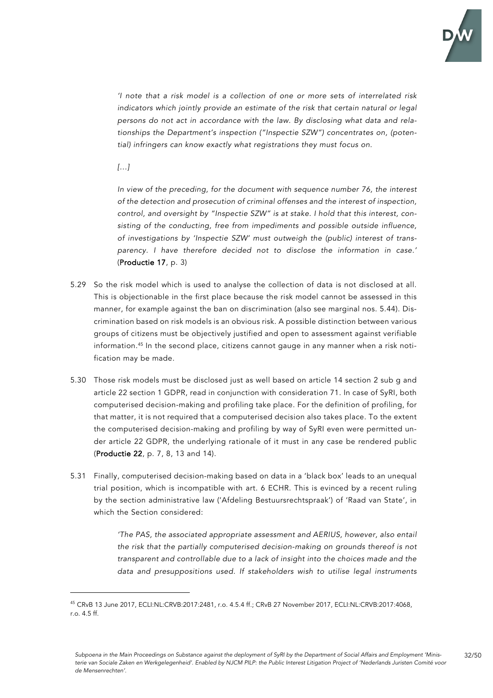

*'I note that a risk model is a collection of one or more sets of interrelated risk indicators which jointly provide an estimate of the risk that certain natural or legal persons do not act in accordance with the law. By disclosing what data and relationships the Department's inspection ("Inspectie SZW") concentrates on, (potential) infringers can know exactly what registrations they must focus on.*

*[…]*

*In view of the preceding, for the document with sequence number 76, the interest of the detection and prosecution of criminal offenses and the interest of inspection, control, and oversight by "Inspectie SZW" is at stake. I hold that this interest, consisting of the conducting, free from impediments and possible outside influence, of investigations by 'Inspectie SZW' must outweigh the (public) interest of transparency. I have therefore decided not to disclose the information in case.'* (Productie 17, p. 3)

- 5.29 So the risk model which is used to analyse the collection of data is not disclosed at all. This is objectionable in the first place because the risk model cannot be assessed in this manner, for example against the ban on discrimination (also see marginal nos. 5.44). Discrimination based on risk models is an obvious risk. A possible distinction between various groups of citizens must be objectively justified and open to assessment against verifiable information. <sup>45</sup> In the second place, citizens cannot gauge in any manner when a risk notification may be made.
- 5.30 Those risk models must be disclosed just as well based on article 14 section 2 sub g and article 22 section 1 GDPR, read in conjunction with consideration 71. In case of SyRI, both computerised decision-making and profiling take place. For the definition of profiling, for that matter, it is not required that a computerised decision also takes place. To the extent the computerised decision-making and profiling by way of SyRI even were permitted under article 22 GDPR, the underlying rationale of it must in any case be rendered public (Productie 22, p. 7, 8, 13 and 14).
- 5.31 Finally, computerised decision-making based on data in a 'black box' leads to an unequal trial position, which is incompatible with art. 6 ECHR. This is evinced by a recent ruling by the section administrative law ('Afdeling Bestuursrechtspraak') of 'Raad van State', in which the Section considered:

*'The PAS, the associated appropriate assessment and AERIUS, however, also entail the risk that the partially computerised decision-making on grounds thereof is not transparent and controllable due to a lack of insight into the choices made and the data and presuppositions used. If stakeholders wish to utilise legal instruments* 

<sup>45</sup> CRvB 13 June 2017, ECLI:NL:CRVB:2017:2481, r.o. 4.5.4 ff.; CRvB 27 November 2017, ECLI:NL:CRVB:2017:4068, r.o. 4.5 ff.

*Subpoena in the Main Proceedings on Substance against the deployment of SyRI by the Department of Social Affairs and Employment 'Ministerie van Sociale Zaken en Werkgelegenheid'. Enabled by NJCM PILP: the Public Interest Litigation Project of 'Nederlands Juristen Comité voor de Mensenrechten'.*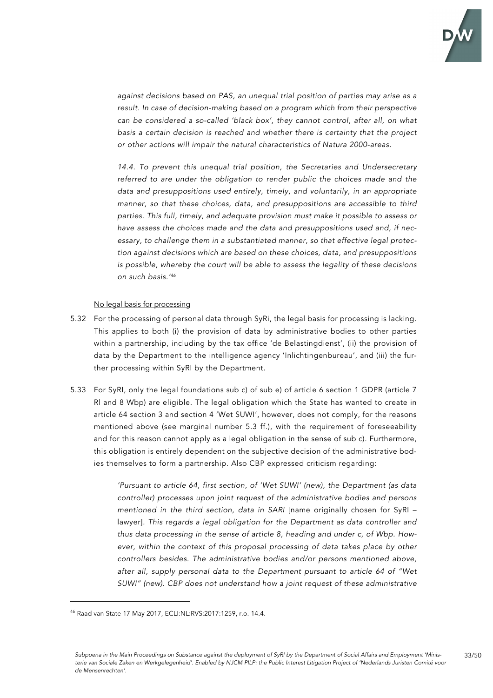

*against decisions based on PAS, an unequal trial position of parties may arise as a result. In case of decision-making based on a program which from their perspective can be considered a so-called 'black box', they cannot control, after all, on what basis a certain decision is reached and whether there is certainty that the project or other actions will impair the natural characteristics of Natura 2000-areas.*

14.4. To prevent this unequal trial position, the Secretaries and Undersecretary *referred to are under the obligation to render public the choices made and the data and presuppositions used entirely, timely, and voluntarily, in an appropriate manner, so that these choices, data, and presuppositions are accessible to third parties. This full, timely, and adequate provision must make it possible to assess or have assess the choices made and the data and presuppositions used and, if necessary, to challenge them in a substantiated manner, so that effective legal protection against decisions which are based on these choices, data, and presuppositions is possible, whereby the court will be able to assess the legality of these decisions on such basis.' 46*

#### No legal basis for processing

- 5.32 For the processing of personal data through SyRi, the legal basis for processing is lacking. This applies to both (i) the provision of data by administrative bodies to other parties within a partnership, including by the tax office 'de Belastingdienst', (ii) the provision of data by the Department to the intelligence agency 'Inlichtingenbureau', and (iii) the further processing within SyRI by the Department.
- 5.33 For SyRI, only the legal foundations sub c) of sub e) of article 6 section 1 GDPR (article 7 Rl and 8 Wbp) are eligible. The legal obligation which the State has wanted to create in article 64 section 3 and section 4 'Wet SUWI', however, does not comply, for the reasons mentioned above (see marginal number 5.3 ff.), with the requirement of foreseeability and for this reason cannot apply as a legal obligation in the sense of sub c). Furthermore, this obligation is entirely dependent on the subjective decision of the administrative bodies themselves to form a partnership. Also CBP expressed criticism regarding:

*'Pursuant to article 64, first section, of 'Wet SUWI' (new), the Department (as data controller) processes upon joint request of the administrative bodies and persons mentioned in the third section, data in SARI* [name originally chosen for SyRI – lawyer]*. This regards a legal obligation for the Department as data controller and thus data processing in the sense of article 8, heading and under c, of Wbp. However, within the context of this proposal processing of data takes place by other controllers besides. The administrative bodies and/or persons mentioned above, after all, supply personal data to the Department pursuant to article 64 of "Wet SUWI" (new). CBP does not understand how a joint request of these administrative* 

<sup>46</sup> Raad van State 17 May 2017, ECLI:NL:RVS:2017:1259, r.o. 14.4.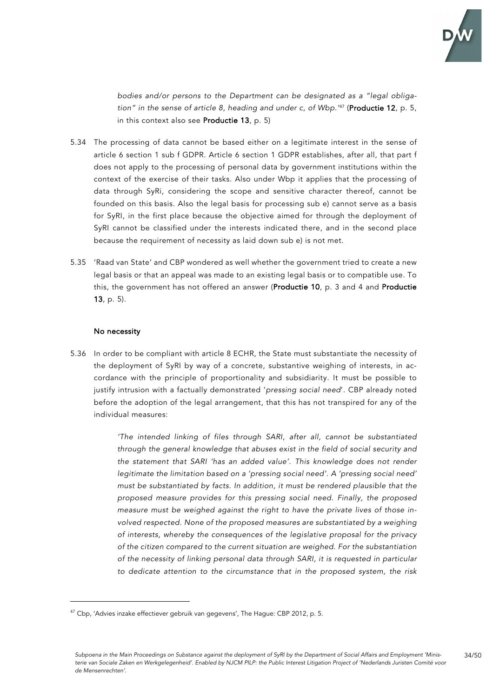

*bodies and/or persons to the Department can be designated as a "legal obligation" in the sense of article 8, heading and under c, of Wbp.'* <sup>47</sup> (Productie 12, p. 5, in this context also see Productie 13, p. 5)

- 5.34 The processing of data cannot be based either on a legitimate interest in the sense of article 6 section 1 sub f GDPR. Article 6 section 1 GDPR establishes, after all, that part f does not apply to the processing of personal data by government institutions within the context of the exercise of their tasks. Also under Wbp it applies that the processing of data through SyRi, considering the scope and sensitive character thereof, cannot be founded on this basis. Also the legal basis for processing sub e) cannot serve as a basis for SyRI, in the first place because the objective aimed for through the deployment of SyRI cannot be classified under the interests indicated there, and in the second place because the requirement of necessity as laid down sub e) is not met.
- 5.35 'Raad van State' and CBP wondered as well whether the government tried to create a new legal basis or that an appeal was made to an existing legal basis or to compatible use. To this, the government has not offered an answer (Productie 10, p. 3 and 4 and Productie 13, p. 5).

### No necessity

5.36 In order to be compliant with article 8 ECHR, the State must substantiate the necessity of the deployment of SyRI by way of a concrete, substantive weighing of interests, in accordance with the principle of proportionality and subsidiarity. It must be possible to justify intrusion with a factually demonstrated '*pressing social need*'. CBP already noted before the adoption of the legal arrangement, that this has not transpired for any of the individual measures:

> *'The intended linking of files through SARI, after all, cannot be substantiated through the general knowledge that abuses exist in the field of social security and the statement that SARI 'has an added value'. This knowledge does not render legitimate the limitation based on a 'pressing social need'. A 'pressing social need' must be substantiated by facts. In addition, it must be rendered plausible that the proposed measure provides for this pressing social need. Finally, the proposed measure must be weighed against the right to have the private lives of those involved respected. None of the proposed measures are substantiated by a weighing of interests, whereby the consequences of the legislative proposal for the privacy of the citizen compared to the current situation are weighed. For the substantiation of the necessity of linking personal data through SARI, it is requested in particular to dedicate attention to the circumstance that in the proposed system, the risk*

<sup>&</sup>lt;sup>47</sup> Cbp, 'Advies inzake effectiever gebruik van gegevens', The Hague: CBP 2012, p. 5.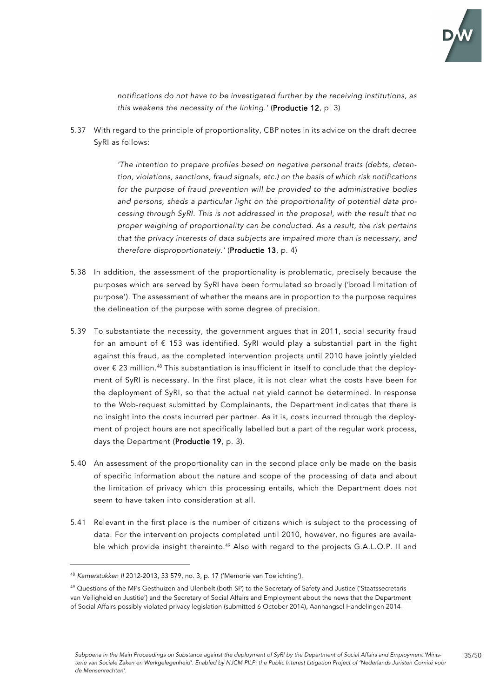

*notifications do not have to be investigated further by the receiving institutions, as this weakens the necessity of the linking.'* (Productie 12, p. 3)

5.37 With regard to the principle of proportionality, CBP notes in its advice on the draft decree SyRI as follows:

> *'The intention to prepare profiles based on negative personal traits (debts, detention, violations, sanctions, fraud signals, etc.) on the basis of which risk notifications for the purpose of fraud prevention will be provided to the administrative bodies and persons, sheds a particular light on the proportionality of potential data processing through SyRI. This is not addressed in the proposal, with the result that no proper weighing of proportionality can be conducted. As a result, the risk pertains that the privacy interests of data subjects are impaired more than is necessary, and therefore disproportionately.'* (Productie 13, p. 4)

- 5.38 In addition, the assessment of the proportionality is problematic, precisely because the purposes which are served by SyRI have been formulated so broadly ('broad limitation of purpose'). The assessment of whether the means are in proportion to the purpose requires the delineation of the purpose with some degree of precision.
- 5.39 To substantiate the necessity, the government argues that in 2011, social security fraud for an amount of € 153 was identified. SyRI would play a substantial part in the fight against this fraud, as the completed intervention projects until 2010 have jointly yielded over  $\epsilon$  23 million.<sup>48</sup> This substantiation is insufficient in itself to conclude that the deployment of SyRI is necessary. In the first place, it is not clear what the costs have been for the deployment of SyRI, so that the actual net yield cannot be determined. In response to the Wob-request submitted by Complainants, the Department indicates that there is no insight into the costs incurred per partner. As it is, costs incurred through the deployment of project hours are not specifically labelled but a part of the regular work process, days the Department (Productie 19, p. 3).
- 5.40 An assessment of the proportionality can in the second place only be made on the basis of specific information about the nature and scope of the processing of data and about the limitation of privacy which this processing entails, which the Department does not seem to have taken into consideration at all.
- 5.41 Relevant in the first place is the number of citizens which is subject to the processing of data. For the intervention projects completed until 2010, however, no figures are available which provide insight thereinto.<sup>49</sup> Also with regard to the projects G.A.L.O.P. II and

<sup>48</sup> *Kamerstukken II* 2012-2013, 33 579, no. 3, p. 17 ('Memorie van Toelichting').

<sup>&</sup>lt;sup>49</sup> Questions of the MPs Gesthuizen and Ulenbelt (both SP) to the Secretary of Safety and Justice ('Staatssecretaris van Veiligheid en Justitie') and the Secretary of Social Affairs and Employment about the news that the Department of Social Affairs possibly violated privacy legislation (submitted 6 October 2014), Aanhangsel Handelingen 2014-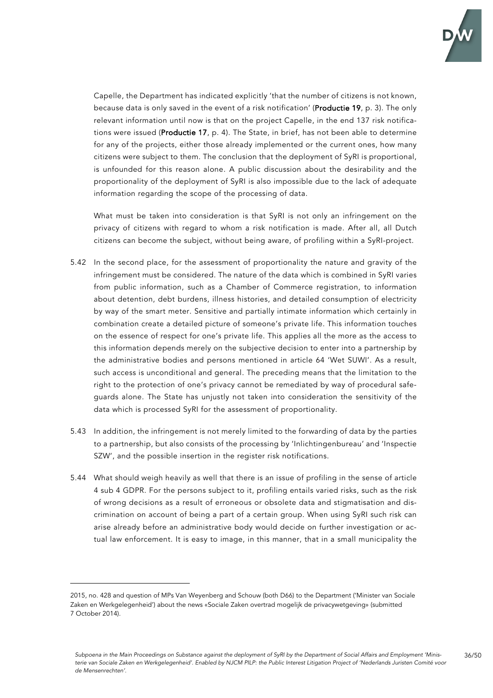

Capelle, the Department has indicated explicitly 'that the number of citizens is not known, because data is only saved in the event of a risk notification' (Productie 19, p. 3). The only relevant information until now is that on the project Capelle, in the end 137 risk notifications were issued (Productie 17, p. 4). The State, in brief, has not been able to determine for any of the projects, either those already implemented or the current ones, how many citizens were subject to them. The conclusion that the deployment of SyRI is proportional, is unfounded for this reason alone. A public discussion about the desirability and the proportionality of the deployment of SyRI is also impossible due to the lack of adequate information regarding the scope of the processing of data.

What must be taken into consideration is that SyRI is not only an infringement on the privacy of citizens with regard to whom a risk notification is made. After all, all Dutch citizens can become the subject, without being aware, of profiling within a SyRI-project.

- 5.42 In the second place, for the assessment of proportionality the nature and gravity of the infringement must be considered. The nature of the data which is combined in SyRI varies from public information, such as a Chamber of Commerce registration, to information about detention, debt burdens, illness histories, and detailed consumption of electricity by way of the smart meter. Sensitive and partially intimate information which certainly in combination create a detailed picture of someone's private life. This information touches on the essence of respect for one's private life. This applies all the more as the access to this information depends merely on the subjective decision to enter into a partnership by the administrative bodies and persons mentioned in article 64 'Wet SUWI'. As a result, such access is unconditional and general. The preceding means that the limitation to the right to the protection of one's privacy cannot be remediated by way of procedural safeguards alone. The State has unjustly not taken into consideration the sensitivity of the data which is processed SyRI for the assessment of proportionality.
- 5.43 In addition, the infringement is not merely limited to the forwarding of data by the parties to a partnership, but also consists of the processing by 'Inlichtingenbureau' and 'Inspectie SZW', and the possible insertion in the register risk notifications.
- 5.44 What should weigh heavily as well that there is an issue of profiling in the sense of article 4 sub 4 GDPR. For the persons subject to it, profiling entails varied risks, such as the risk of wrong decisions as a result of erroneous or obsolete data and stigmatisation and discrimination on account of being a part of a certain group. When using SyRI such risk can arise already before an administrative body would decide on further investigation or actual law enforcement. It is easy to image, in this manner, that in a small municipality the

<sup>2015,</sup> no. 428 and question of MPs Van Weyenberg and Schouw (both D66) to the Department ('Minister van Sociale Zaken en Werkgelegenheid') about the news «Sociale Zaken overtrad mogelijk de privacywetgeving» (submitted 7 October 2014).

*Subpoena in the Main Proceedings on Substance against the deployment of SyRI by the Department of Social Affairs and Employment 'Ministerie van Sociale Zaken en Werkgelegenheid'. Enabled by NJCM PILP: the Public Interest Litigation Project of 'Nederlands Juristen Comité voor de Mensenrechten'.*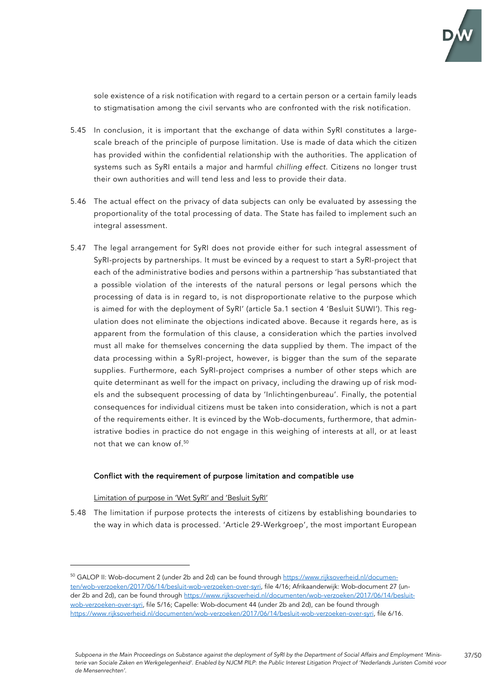

sole existence of a risk notification with regard to a certain person or a certain family leads to stigmatisation among the civil servants who are confronted with the risk notification.

- 5.45 In conclusion, it is important that the exchange of data within SyRI constitutes a largescale breach of the principle of purpose limitation. Use is made of data which the citizen has provided within the confidential relationship with the authorities. The application of systems such as SyRI entails a major and harmful *chilling effect*. Citizens no longer trust their own authorities and will tend less and less to provide their data.
- 5.46 The actual effect on the privacy of data subjects can only be evaluated by assessing the proportionality of the total processing of data. The State has failed to implement such an integral assessment.
- 5.47 The legal arrangement for SyRI does not provide either for such integral assessment of SyRI-projects by partnerships. It must be evinced by a request to start a SyRI-project that each of the administrative bodies and persons within a partnership 'has substantiated that a possible violation of the interests of the natural persons or legal persons which the processing of data is in regard to, is not disproportionate relative to the purpose which is aimed for with the deployment of SyRI' (article 5a.1 section 4 'Besluit SUWI'). This regulation does not eliminate the objections indicated above. Because it regards here, as is apparent from the formulation of this clause, a consideration which the parties involved must all make for themselves concerning the data supplied by them. The impact of the data processing within a SyRI-project, however, is bigger than the sum of the separate supplies. Furthermore, each SyRI-project comprises a number of other steps which are quite determinant as well for the impact on privacy, including the drawing up of risk models and the subsequent processing of data by 'Inlichtingenbureau'. Finally, the potential consequences for individual citizens must be taken into consideration, which is not a part of the requirements either. It is evinced by the Wob-documents, furthermore, that administrative bodies in practice do not engage in this weighing of interests at all, or at least not that we can know of. 50

## Conflict with the requirement of purpose limitation and compatible use

Limitation of purpose in 'Wet SyRI' and 'Besluit SyRI'

5.48 The limitation if purpose protects the interests of citizens by establishing boundaries to the way in which data is processed. 'Article 29-Werkgroep', the most important European

<sup>50</sup> GALOP II: Wob-document 2 (under 2b and 2d) can be found through https://www.rijksoverheid.nl/documenten/wob-verzoeken/2017/06/14/besluit-wob-verzoeken-over-syri, file 4/16; Afrikaanderwijk: Wob-document 27 (under 2b and 2d), can be found through https://www.rijksoverheid.nl/documenten/wob-verzoeken/2017/06/14/besluitwob-verzoeken-over-syri, file 5/16; Capelle: Wob-document 44 (under 2b and 2d), can be found through https://www.rijksoverheid.nl/documenten/wob-verzoeken/2017/06/14/besluit-wob-verzoeken-over-syri, file 6/16.

*Subpoena in the Main Proceedings on Substance against the deployment of SyRI by the Department of Social Affairs and Employment 'Ministerie van Sociale Zaken en Werkgelegenheid'. Enabled by NJCM PILP: the Public Interest Litigation Project of 'Nederlands Juristen Comité voor de Mensenrechten'.*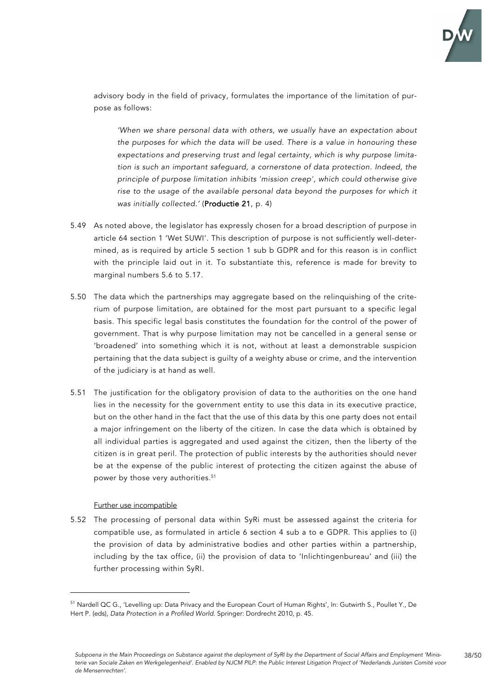

advisory body in the field of privacy, formulates the importance of the limitation of purpose as follows:

*'When we share personal data with others, we usually have an expectation about the purposes for which the data will be used. There is a value in honouring these expectations and preserving trust and legal certainty, which is why purpose limitation is such an important safeguard, a cornerstone of data protection. Indeed, the principle of purpose limitation inhibits 'mission creep', which could otherwise give rise to the usage of the available personal data beyond the purposes for which it was initially collected.'* (Productie 21, p. 4)

- 5.49 As noted above, the legislator has expressly chosen for a broad description of purpose in article 64 section 1 'Wet SUWI'. This description of purpose is not sufficiently well-determined, as is required by article 5 section 1 sub b GDPR and for this reason is in conflict with the principle laid out in it. To substantiate this, reference is made for brevity to marginal numbers 5.6 to 5.17.
- 5.50 The data which the partnerships may aggregate based on the relinquishing of the criterium of purpose limitation, are obtained for the most part pursuant to a specific legal basis. This specific legal basis constitutes the foundation for the control of the power of government. That is why purpose limitation may not be cancelled in a general sense or 'broadened' into something which it is not, without at least a demonstrable suspicion pertaining that the data subject is guilty of a weighty abuse or crime, and the intervention of the judiciary is at hand as well.
- 5.51 The justification for the obligatory provision of data to the authorities on the one hand lies in the necessity for the government entity to use this data in its executive practice, but on the other hand in the fact that the use of this data by this one party does not entail a major infringement on the liberty of the citizen. In case the data which is obtained by all individual parties is aggregated and used against the citizen, then the liberty of the citizen is in great peril. The protection of public interests by the authorities should never be at the expense of the public interest of protecting the citizen against the abuse of power by those very authorities. 51

#### Further use incompatible

5.52 The processing of personal data within SyRi must be assessed against the criteria for compatible use, as formulated in article 6 section 4 sub a to e GDPR. This applies to (i) the provision of data by administrative bodies and other parties within a partnership, including by the tax office, (ii) the provision of data to 'Inlichtingenbureau' and (iii) the further processing within SyRI.

<sup>&</sup>lt;sup>51</sup> Nardell QC G., 'Levelling up: Data Privacy and the European Court of Human Rights', In: Gutwirth S., Poullet Y., De Hert P. (eds), *Data Protection in a Profiled World*. Springer: Dordrecht 2010, p. 45.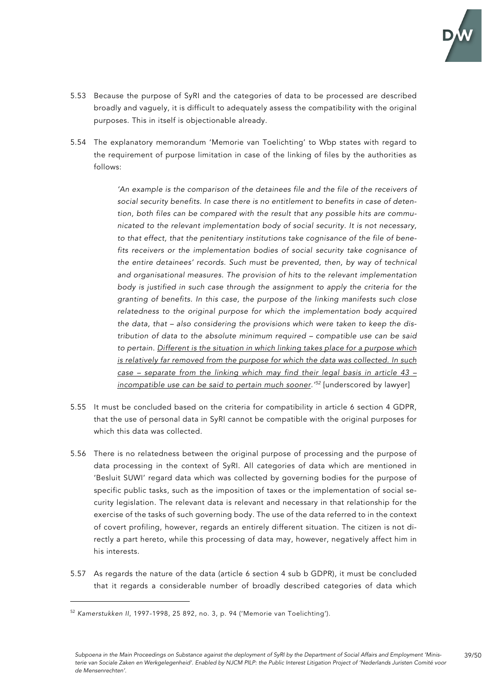

- 5.53 Because the purpose of SyRI and the categories of data to be processed are described broadly and vaguely, it is difficult to adequately assess the compatibility with the original purposes. This in itself is objectionable already.
- 5.54 The explanatory memorandum 'Memorie van Toelichting' to Wbp states with regard to the requirement of purpose limitation in case of the linking of files by the authorities as follows:

*'An example is the comparison of the detainees file and the file of the receivers of social security benefits. In case there is no entitlement to benefits in case of detention, both files can be compared with the result that any possible hits are communicated to the relevant implementation body of social security. It is not necessary, to that effect, that the penitentiary institutions take cognisance of the file of benefits receivers or the implementation bodies of social security take cognisance of the entire detainees' records. Such must be prevented, then, by way of technical and organisational measures. The provision of hits to the relevant implementation body is justified in such case through the assignment to apply the criteria for the granting of benefits. In this case, the purpose of the linking manifests such close relatedness to the original purpose for which the implementation body acquired the data, that – also considering the provisions which were taken to keep the distribution of data to the absolute minimum required – compatible use can be said to pertain. Different is the situation in which linking takes place for a purpose which is relatively far removed from the purpose for which the data was collected. In such case – separate from the linking which may find their legal basis in article 43 – incompatible use can be said to pertain much sooner.' <sup>52</sup>* [underscored by lawyer]

- 5.55 It must be concluded based on the criteria for compatibility in article 6 section 4 GDPR, that the use of personal data in SyRI cannot be compatible with the original purposes for which this data was collected.
- 5.56 There is no relatedness between the original purpose of processing and the purpose of data processing in the context of SyRI. All categories of data which are mentioned in 'Besluit SUWI' regard data which was collected by governing bodies for the purpose of specific public tasks, such as the imposition of taxes or the implementation of social security legislation. The relevant data is relevant and necessary in that relationship for the exercise of the tasks of such governing body. The use of the data referred to in the context of covert profiling, however, regards an entirely different situation. The citizen is not directly a part hereto, while this processing of data may, however, negatively affect him in his interests.
- 5.57 As regards the nature of the data (article 6 section 4 sub b GDPR), it must be concluded that it regards a considerable number of broadly described categories of data which

<sup>52</sup> *Kamerstukken II*, 1997-1998, 25 892, no. 3, p. 94 ('Memorie van Toelichting').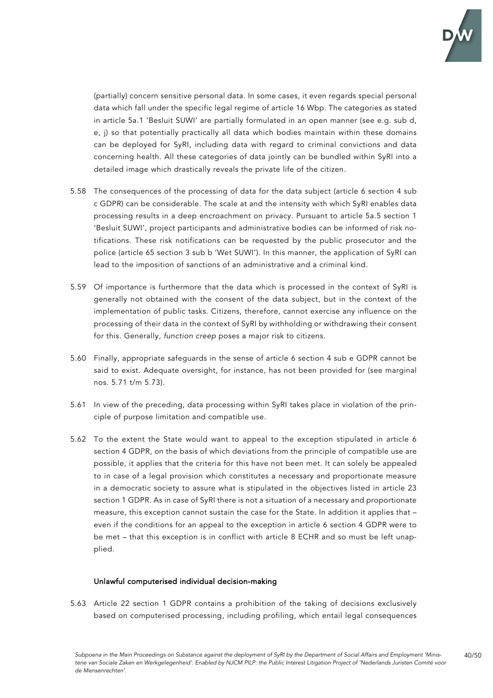

(partially) concern sensitive personal data. In some cases, it even regards special personal data which fall under the specific legal regime of article 16 Wbp. The categories as stated in article 5a.1 'Besluit SUWI' are partially formulated in an open manner (see e.g. sub d, e, j) so that potentially practically all data which bodies maintain within these domains can be deployed for SyRI, including data with regard to criminal convictions and data concerning health. All these categories of data jointly can be bundled within SyRI into a detailed image which drastically reveals the private life of the citizen.

- 5.58 The consequences of the processing of data for the data subject (article 6 section 4 sub c GDPR) can be considerable. The scale at and the intensity with which SyRI enables data processing results in a deep encroachment on privacy. Pursuant to article 5a.5 section 1 'Besluit SUWI', project participants and administrative bodies can be informed of risk notifications. These risk notifications can be requested by the public prosecutor and the police (article 65 section 3 sub b 'Wet SUWI'). In this manner, the application of SyRI can lead to the imposition of sanctions of an administrative and a criminal kind.
- 5.59 Of importance is furthermore that the data which is processed in the context of SyRI is generally not obtained with the consent of the data subject, but in the context of the implementation of public tasks. Citizens, therefore, cannot exercise any influence on the processing of their data in the context of SyRI by withholding or withdrawing their consent for this. Generally, *function creep* poses a major risk to citizens.
- 5.60 Finally, appropriate safeguards in the sense of article 6 section 4 sub e GDPR cannot be said to exist. Adequate oversight, for instance, has not been provided for (see marginal nos. 5.71 t/m 5.73).
- 5.61 In view of the preceding, data processing within SyRI takes place in violation of the principle of purpose limitation and compatible use.
- 5.62 To the extent the State would want to appeal to the exception stipulated in article 6 section 4 GDPR, on the basis of which deviations from the principle of compatible use are possible, it applies that the criteria for this have not been met. It can solely be appealed to in case of a legal provision which constitutes a necessary and proportionate measure in a democratic society to assure what is stipulated in the objectives listed in article 23 section 1 GDPR. As in case of SyRI there is not a situation of a necessary and proportionate measure, this exception cannot sustain the case for the State. In addition it applies that – even if the conditions for an appeal to the exception in article 6 section 4 GDPR were to be met – that this exception is in conflict with article 8 ECHR and so must be left unapplied.

#### Unlawful computerised individual decision-making

5.63 Article 22 section 1 GDPR contains a prohibition of the taking of decisions exclusively based on computerised processing, including profiling, which entail legal consequences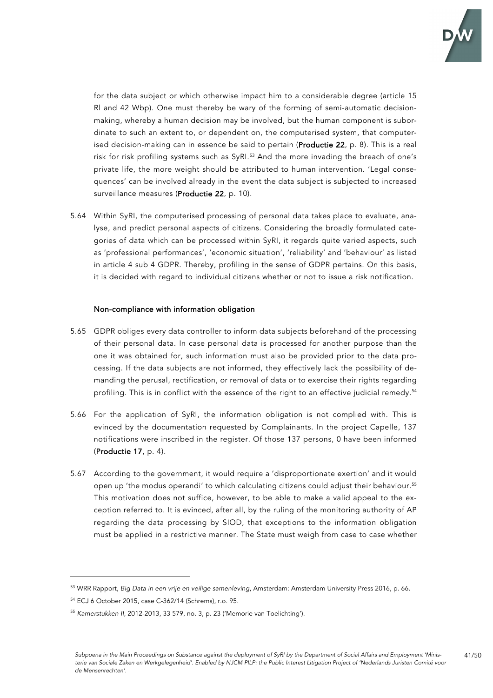

for the data subject or which otherwise impact him to a considerable degree (article 15 Rl and 42 Wbp). One must thereby be wary of the forming of semi-automatic decisionmaking, whereby a human decision may be involved, but the human component is subordinate to such an extent to, or dependent on, the computerised system, that computerised decision-making can in essence be said to pertain (Productie 22, p. 8). This is a real risk for risk profiling systems such as SyRI.<sup>53</sup> And the more invading the breach of one's private life, the more weight should be attributed to human intervention. 'Legal consequences' can be involved already in the event the data subject is subjected to increased surveillance measures (Productie 22, p. 10).

5.64 Within SyRI, the computerised processing of personal data takes place to evaluate, analyse, and predict personal aspects of citizens. Considering the broadly formulated categories of data which can be processed within SyRI, it regards quite varied aspects, such as 'professional performances', 'economic situation', 'reliability' and 'behaviour' as listed in article 4 sub 4 GDPR. Thereby, profiling in the sense of GDPR pertains. On this basis, it is decided with regard to individual citizens whether or not to issue a risk notification.

#### Non-compliance with information obligation

- 5.65 GDPR obliges every data controller to inform data subjects beforehand of the processing of their personal data. In case personal data is processed for another purpose than the one it was obtained for, such information must also be provided prior to the data processing. If the data subjects are not informed, they effectively lack the possibility of demanding the perusal, rectification, or removal of data or to exercise their rights regarding profiling. This is in conflict with the essence of the right to an effective judicial remedy. 54
- 5.66 For the application of SyRI, the information obligation is not complied with. This is evinced by the documentation requested by Complainants. In the project Capelle, 137 notifications were inscribed in the register. Of those 137 persons, 0 have been informed (Productie 17, p. 4).
- 5.67 According to the government, it would require a 'disproportionate exertion' and it would open up 'the modus operandi' to which calculating citizens could adjust their behaviour. 55 This motivation does not suffice, however, to be able to make a valid appeal to the exception referred to. It is evinced, after all, by the ruling of the monitoring authority of AP regarding the data processing by SIOD, that exceptions to the information obligation must be applied in a restrictive manner. The State must weigh from case to case whether

<sup>53</sup> WRR Rapport, *Big Data in een vrije en veilige samenleving*, Amsterdam: Amsterdam University Press 2016, p. 66.

<sup>54</sup> ECJ 6 October 2015, case C-362/14 (Schrems), r.o. 95.

<sup>55</sup> *Kamerstukken II*, 2012-2013, 33 579, no. 3, p. 23 ('Memorie van Toelichting').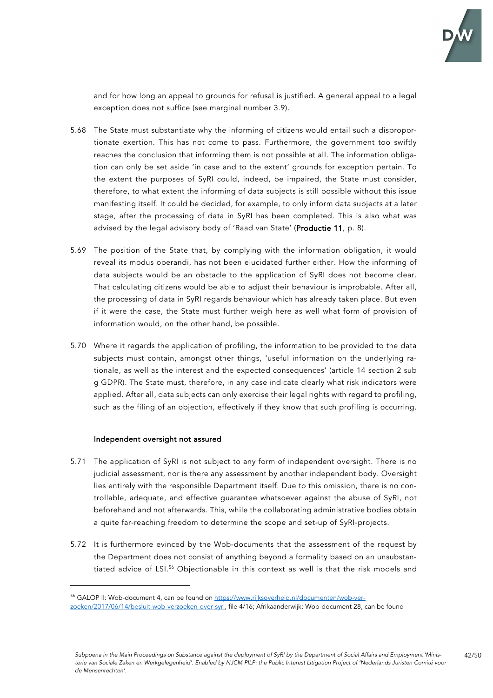

and for how long an appeal to grounds for refusal is justified. A general appeal to a legal exception does not suffice (see marginal number 3.9).

- 5.68 The State must substantiate why the informing of citizens would entail such a disproportionate exertion. This has not come to pass. Furthermore, the government too swiftly reaches the conclusion that informing them is not possible at all. The information obligation can only be set aside 'in case and to the extent' grounds for exception pertain. To the extent the purposes of SyRI could, indeed, be impaired, the State must consider, therefore, to what extent the informing of data subjects is still possible without this issue manifesting itself. It could be decided, for example, to only inform data subjects at a later stage, after the processing of data in SyRI has been completed. This is also what was advised by the legal advisory body of 'Raad van State' (Productie 11, p. 8).
- 5.69 The position of the State that, by complying with the information obligation, it would reveal its modus operandi, has not been elucidated further either. How the informing of data subjects would be an obstacle to the application of SyRI does not become clear. That calculating citizens would be able to adjust their behaviour is improbable. After all, the processing of data in SyRI regards behaviour which has already taken place. But even if it were the case, the State must further weigh here as well what form of provision of information would, on the other hand, be possible.
- 5.70 Where it regards the application of profiling, the information to be provided to the data subjects must contain, amongst other things, 'useful information on the underlying rationale, as well as the interest and the expected consequences' (article 14 section 2 sub g GDPR). The State must, therefore, in any case indicate clearly what risk indicators were applied. After all, data subjects can only exercise their legal rights with regard to profiling, such as the filing of an objection, effectively if they know that such profiling is occurring.

#### Independent oversight not assured

- 5.71 The application of SyRI is not subject to any form of independent oversight. There is no judicial assessment, nor is there any assessment by another independent body. Oversight lies entirely with the responsible Department itself. Due to this omission, there is no controllable, adequate, and effective guarantee whatsoever against the abuse of SyRI, not beforehand and not afterwards. This, while the collaborating administrative bodies obtain a quite far-reaching freedom to determine the scope and set-up of SyRI-projects.
- 5.72 It is furthermore evinced by the Wob-documents that the assessment of the request by the Department does not consist of anything beyond a formality based on an unsubstantiated advice of LSI.56 Objectionable in this context as well is that the risk models and

<sup>56</sup> GALOP II: Wob-document 4, can be found on https://www.rijksoverheid.nl/documenten/wob-ver-

zoeken/2017/06/14/besluit-wob-verzoeken-over-syri, file 4/16; Afrikaanderwijk: Wob-document 28, can be found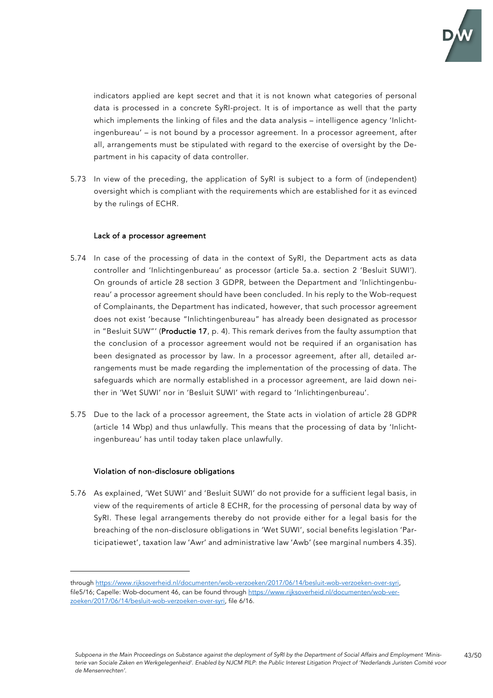

indicators applied are kept secret and that it is not known what categories of personal data is processed in a concrete SyRI-project. It is of importance as well that the party which implements the linking of files and the data analysis – intelligence agency 'Inlichtingenbureau' – is not bound by a processor agreement. In a processor agreement, after all, arrangements must be stipulated with regard to the exercise of oversight by the Department in his capacity of data controller.

5.73 In view of the preceding, the application of SyRI is subject to a form of (independent) oversight which is compliant with the requirements which are established for it as evinced by the rulings of ECHR.

### Lack of a processor agreement

- 5.74 In case of the processing of data in the context of SyRI, the Department acts as data controller and 'Inlichtingenbureau' as processor (article 5a.a. section 2 'Besluit SUWI'). On grounds of article 28 section 3 GDPR, between the Department and 'Inlichtingenbureau' a processor agreement should have been concluded. In his reply to the Wob-request of Complainants, the Department has indicated, however, that such processor agreement does not exist 'because "Inlichtingenbureau" has already been designated as processor in "Besluit SUW"' (Productie 17, p. 4). This remark derives from the faulty assumption that the conclusion of a processor agreement would not be required if an organisation has been designated as processor by law. In a processor agreement, after all, detailed arrangements must be made regarding the implementation of the processing of data. The safeguards which are normally established in a processor agreement, are laid down neither in 'Wet SUWI' nor in 'Besluit SUWI' with regard to 'Inlichtingenbureau'.
- 5.75 Due to the lack of a processor agreement, the State acts in violation of article 28 GDPR (article 14 Wbp) and thus unlawfully. This means that the processing of data by 'Inlichtingenbureau' has until today taken place unlawfully.

#### Violation of non-disclosure obligations

5.76 As explained, 'Wet SUWI' and 'Besluit SUWI' do not provide for a sufficient legal basis, in view of the requirements of article 8 ECHR, for the processing of personal data by way of SyRI. These legal arrangements thereby do not provide either for a legal basis for the breaching of the non-disclosure obligations in 'Wet SUWI', social benefits legislation 'Participatiewet', taxation law 'Awr' and administrative law 'Awb' (see marginal numbers 4.35).

through https://www.rijksoverheid.nl/documenten/wob-verzoeken/2017/06/14/besluit-wob-verzoeken-over-syri, file5/16; Capelle: Wob-document 46, can be found through https://www.rijksoverheid.nl/documenten/wob-verzoeken/2017/06/14/besluit-wob-verzoeken-over-syri, file 6/16.

*Subpoena in the Main Proceedings on Substance against the deployment of SyRI by the Department of Social Affairs and Employment 'Ministerie van Sociale Zaken en Werkgelegenheid'. Enabled by NJCM PILP: the Public Interest Litigation Project of 'Nederlands Juristen Comité voor de Mensenrechten'.*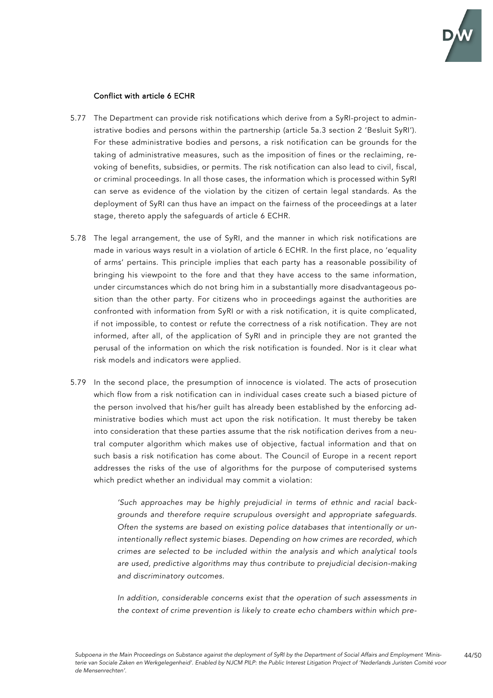

### Conflict with article 6 ECHR

- 5.77 The Department can provide risk notifications which derive from a SyRI-project to administrative bodies and persons within the partnership (article 5a.3 section 2 'Besluit SyRI'). For these administrative bodies and persons, a risk notification can be grounds for the taking of administrative measures, such as the imposition of fines or the reclaiming, revoking of benefits, subsidies, or permits. The risk notification can also lead to civil, fiscal, or criminal proceedings. In all those cases, the information which is processed within SyRI can serve as evidence of the violation by the citizen of certain legal standards. As the deployment of SyRI can thus have an impact on the fairness of the proceedings at a later stage, thereto apply the safeguards of article 6 ECHR.
- 5.78 The legal arrangement, the use of SyRI, and the manner in which risk notifications are made in various ways result in a violation of article 6 ECHR. In the first place, no 'equality of arms' pertains. This principle implies that each party has a reasonable possibility of bringing his viewpoint to the fore and that they have access to the same information, under circumstances which do not bring him in a substantially more disadvantageous position than the other party. For citizens who in proceedings against the authorities are confronted with information from SyRI or with a risk notification, it is quite complicated, if not impossible, to contest or refute the correctness of a risk notification. They are not informed, after all, of the application of SyRI and in principle they are not granted the perusal of the information on which the risk notification is founded. Nor is it clear what risk models and indicators were applied.
- 5.79 In the second place, the presumption of innocence is violated. The acts of prosecution which flow from a risk notification can in individual cases create such a biased picture of the person involved that his/her guilt has already been established by the enforcing administrative bodies which must act upon the risk notification. It must thereby be taken into consideration that these parties assume that the risk notification derives from a neutral computer algorithm which makes use of objective, factual information and that on such basis a risk notification has come about. The Council of Europe in a recent report addresses the risks of the use of algorithms for the purpose of computerised systems which predict whether an individual may commit a violation:

*'Such approaches may be highly prejudicial in terms of ethnic and racial backgrounds and therefore require scrupulous oversight and appropriate safeguards. Often the systems are based on existing police databases that intentionally or unintentionally reflect systemic biases. Depending on how crimes are recorded, which crimes are selected to be included within the analysis and which analytical tools are used, predictive algorithms may thus contribute to prejudicial decision-making and discriminatory outcomes.* 

*In addition, considerable concerns exist that the operation of such assessments in the context of crime prevention is likely to create echo chambers within which pre-*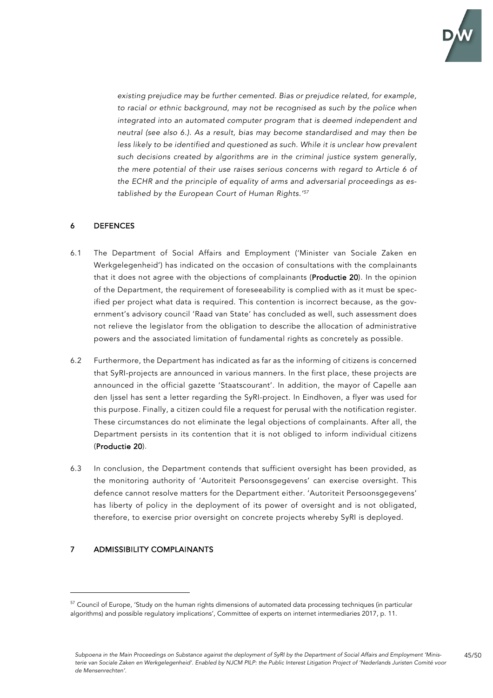

*existing prejudice may be further cemented. Bias or prejudice related, for example, to racial or ethnic background, may not be recognised as such by the police when integrated into an automated computer program that is deemed independent and neutral (see also 6.). As a result, bias may become standardised and may then be*  less likely to be identified and questioned as such. While it is unclear how prevalent *such decisions created by algorithms are in the criminal justice system generally, the mere potential of their use raises serious concerns with regard to Article 6 of the ECHR and the principle of equality of arms and adversarial proceedings as established by the European Court of Human Rights.' 57*

## 6 DEFENCES

- 6.1 The Department of Social Affairs and Employment ('Minister van Sociale Zaken en Werkgelegenheid') has indicated on the occasion of consultations with the complainants that it does not agree with the objections of complainants (Productie 20). In the opinion of the Department, the requirement of foreseeability is complied with as it must be specified per project what data is required. This contention is incorrect because, as the government's advisory council 'Raad van State' has concluded as well, such assessment does not relieve the legislator from the obligation to describe the allocation of administrative powers and the associated limitation of fundamental rights as concretely as possible.
- 6.2 Furthermore, the Department has indicated as far as the informing of citizens is concerned that SyRI-projects are announced in various manners. In the first place, these projects are announced in the official gazette 'Staatscourant'. In addition, the mayor of Capelle aan den Ijssel has sent a letter regarding the SyRI-project. In Eindhoven, a flyer was used for this purpose. Finally, a citizen could file a request for perusal with the notification register. These circumstances do not eliminate the legal objections of complainants. After all, the Department persists in its contention that it is not obliged to inform individual citizens (Productie 20).
- 6.3 In conclusion, the Department contends that sufficient oversight has been provided, as the monitoring authority of 'Autoriteit Persoonsgegevens' can exercise oversight. This defence cannot resolve matters for the Department either. 'Autoriteit Persoonsgegevens' has liberty of policy in the deployment of its power of oversight and is not obligated, therefore, to exercise prior oversight on concrete projects whereby SyRI is deployed.

# 7 ADMISSIBILITY COMPLAINANTS

<sup>&</sup>lt;sup>57</sup> Council of Europe, 'Study on the human rights dimensions of automated data processing techniques (in particular algorithms) and possible regulatory implications', Committee of experts on internet intermediaries 2017, p. 11.

*Subpoena in the Main Proceedings on Substance against the deployment of SyRI by the Department of Social Affairs and Employment 'Ministerie van Sociale Zaken en Werkgelegenheid'. Enabled by NJCM PILP: the Public Interest Litigation Project of 'Nederlands Juristen Comité voor de Mensenrechten'.*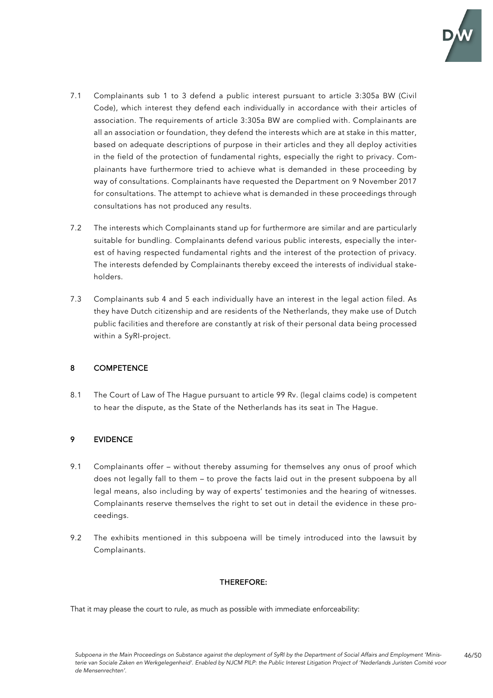

- 7.1 Complainants sub 1 to 3 defend a public interest pursuant to article 3:305a BW (Civil Code), which interest they defend each individually in accordance with their articles of association. The requirements of article 3:305a BW are complied with. Complainants are all an association or foundation, they defend the interests which are at stake in this matter, based on adequate descriptions of purpose in their articles and they all deploy activities in the field of the protection of fundamental rights, especially the right to privacy. Complainants have furthermore tried to achieve what is demanded in these proceeding by way of consultations. Complainants have requested the Department on 9 November 2017 for consultations. The attempt to achieve what is demanded in these proceedings through consultations has not produced any results.
- 7.2 The interests which Complainants stand up for furthermore are similar and are particularly suitable for bundling. Complainants defend various public interests, especially the interest of having respected fundamental rights and the interest of the protection of privacy. The interests defended by Complainants thereby exceed the interests of individual stakeholders.
- 7.3 Complainants sub 4 and 5 each individually have an interest in the legal action filed. As they have Dutch citizenship and are residents of the Netherlands, they make use of Dutch public facilities and therefore are constantly at risk of their personal data being processed within a SyRI-project.

# 8 COMPETENCE

8.1 The Court of Law of The Hague pursuant to article 99 Rv. (legal claims code) is competent to hear the dispute, as the State of the Netherlands has its seat in The Hague.

## 9 EVIDENCE

- 9.1 Complainants offer without thereby assuming for themselves any onus of proof which does not legally fall to them – to prove the facts laid out in the present subpoena by all legal means, also including by way of experts' testimonies and the hearing of witnesses. Complainants reserve themselves the right to set out in detail the evidence in these proceedings.
- 9.2 The exhibits mentioned in this subpoena will be timely introduced into the lawsuit by Complainants.

## THEREFORE:

That it may please the court to rule, as much as possible with immediate enforceability: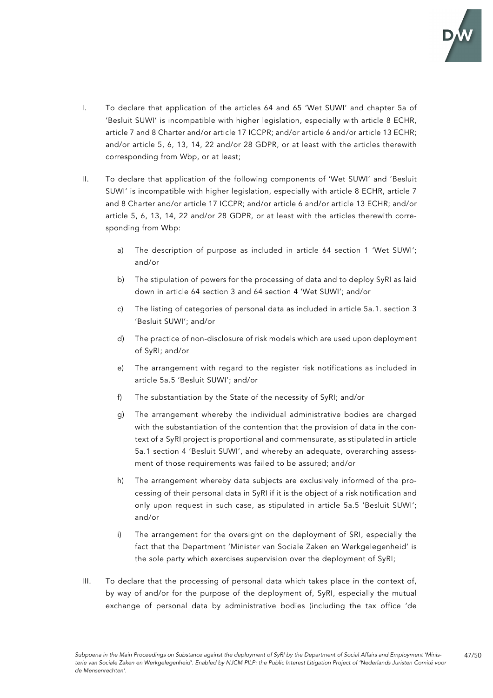

- I. To declare that application of the articles 64 and 65 'Wet SUWI' and chapter 5a of 'Besluit SUWI' is incompatible with higher legislation, especially with article 8 ECHR, article 7 and 8 Charter and/or article 17 ICCPR; and/or article 6 and/or article 13 ECHR; and/or article 5, 6, 13, 14, 22 and/or 28 GDPR, or at least with the articles therewith corresponding from Wbp, or at least;
- II. To declare that application of the following components of 'Wet SUWI' and 'Besluit SUWI' is incompatible with higher legislation, especially with article 8 ECHR, article 7 and 8 Charter and/or article 17 ICCPR; and/or article 6 and/or article 13 ECHR; and/or article 5, 6, 13, 14, 22 and/or 28 GDPR, or at least with the articles therewith corresponding from Wbp:
	- a) The description of purpose as included in article 64 section 1 'Wet SUWI'; and/or
	- b) The stipulation of powers for the processing of data and to deploy SyRI as laid down in article 64 section 3 and 64 section 4 'Wet SUWI'; and/or
	- c) The listing of categories of personal data as included in article 5a.1. section 3 'Besluit SUWI'; and/or
	- d) The practice of non-disclosure of risk models which are used upon deployment of SyRI; and/or
	- e) The arrangement with regard to the register risk notifications as included in article 5a.5 'Besluit SUWI'; and/or
	- f) The substantiation by the State of the necessity of SyRI; and/or
	- g) The arrangement whereby the individual administrative bodies are charged with the substantiation of the contention that the provision of data in the context of a SyRI project is proportional and commensurate, as stipulated in article 5a.1 section 4 'Besluit SUWI', and whereby an adequate, overarching assessment of those requirements was failed to be assured; and/or
	- h) The arrangement whereby data subjects are exclusively informed of the processing of their personal data in SyRI if it is the object of a risk notification and only upon request in such case, as stipulated in article 5a.5 'Besluit SUWI'; and/or
	- i) The arrangement for the oversight on the deployment of SRI, especially the fact that the Department 'Minister van Sociale Zaken en Werkgelegenheid' is the sole party which exercises supervision over the deployment of SyRI;
- III. To declare that the processing of personal data which takes place in the context of, by way of and/or for the purpose of the deployment of, SyRI, especially the mutual exchange of personal data by administrative bodies (including the tax office 'de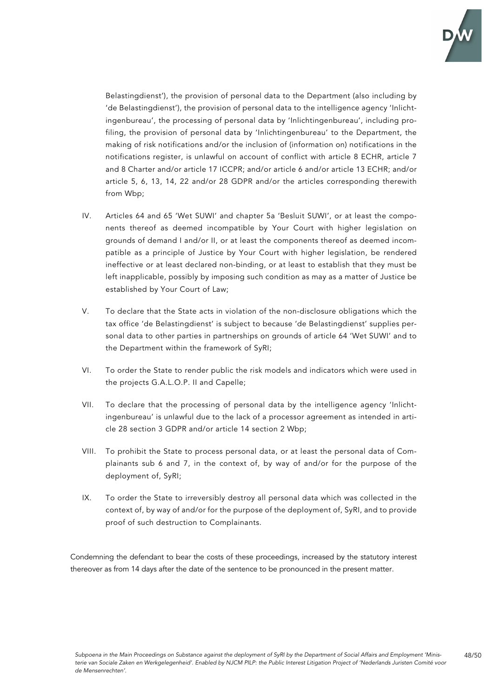

48/50

Belastingdienst'), the provision of personal data to the Department (also including by 'de Belastingdienst'), the provision of personal data to the intelligence agency 'Inlichtingenbureau', the processing of personal data by 'Inlichtingenbureau', including profiling, the provision of personal data by 'Inlichtingenbureau' to the Department, the making of risk notifications and/or the inclusion of (information on) notifications in the notifications register, is unlawful on account of conflict with article 8 ECHR, article 7 and 8 Charter and/or article 17 ICCPR; and/or article 6 and/or article 13 ECHR; and/or article 5, 6, 13, 14, 22 and/or 28 GDPR and/or the articles corresponding therewith from Wbp;

- IV. Articles 64 and 65 'Wet SUWI' and chapter 5a 'Besluit SUWI', or at least the components thereof as deemed incompatible by Your Court with higher legislation on grounds of demand I and/or II, or at least the components thereof as deemed incompatible as a principle of Justice by Your Court with higher legislation, be rendered ineffective or at least declared non-binding, or at least to establish that they must be left inapplicable, possibly by imposing such condition as may as a matter of Justice be established by Your Court of Law;
- V. To declare that the State acts in violation of the non-disclosure obligations which the tax office 'de Belastingdienst' is subject to because 'de Belastingdienst' supplies personal data to other parties in partnerships on grounds of article 64 'Wet SUWI' and to the Department within the framework of SyRI;
- VI. To order the State to render public the risk models and indicators which were used in the projects G.A.L.O.P. II and Capelle;
- VII. To declare that the processing of personal data by the intelligence agency 'Inlichtingenbureau' is unlawful due to the lack of a processor agreement as intended in article 28 section 3 GDPR and/or article 14 section 2 Wbp;
- VIII. To prohibit the State to process personal data, or at least the personal data of Complainants sub 6 and 7, in the context of, by way of and/or for the purpose of the deployment of, SyRI;
- IX. To order the State to irreversibly destroy all personal data which was collected in the context of, by way of and/or for the purpose of the deployment of, SyRI, and to provide proof of such destruction to Complainants.

Condemning the defendant to bear the costs of these proceedings, increased by the statutory interest thereover as from 14 days after the date of the sentence to be pronounced in the present matter.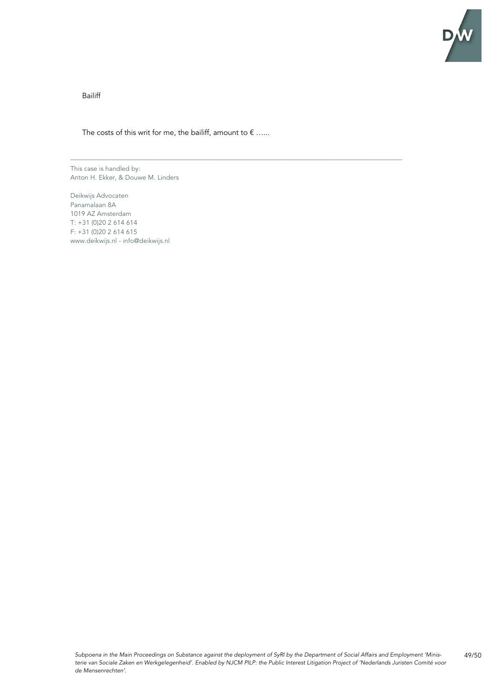

Bailiff

The costs of this writ for me, the bailiff, amount to  $\epsilon$  ......

\_\_\_\_\_\_\_\_\_\_\_\_\_\_\_\_\_\_\_\_\_\_\_\_\_\_\_\_\_\_\_\_\_\_\_\_\_\_\_\_\_\_\_\_\_\_\_\_\_\_\_\_\_\_\_\_\_\_\_\_\_\_\_\_\_\_\_\_\_\_\_\_\_\_\_\_\_\_\_\_\_\_\_\_\_\_\_\_\_

This case is handled by: Anton H. Ekker, & Douwe M. Linders

Deikwijs Advocaten Panamalaan 8A 1019 AZ Amsterdam T: +31 (0)20 2 614 614 F: +31 (0)20 2 614 615 www.deikwijs.nl - info@deikwijs.nl